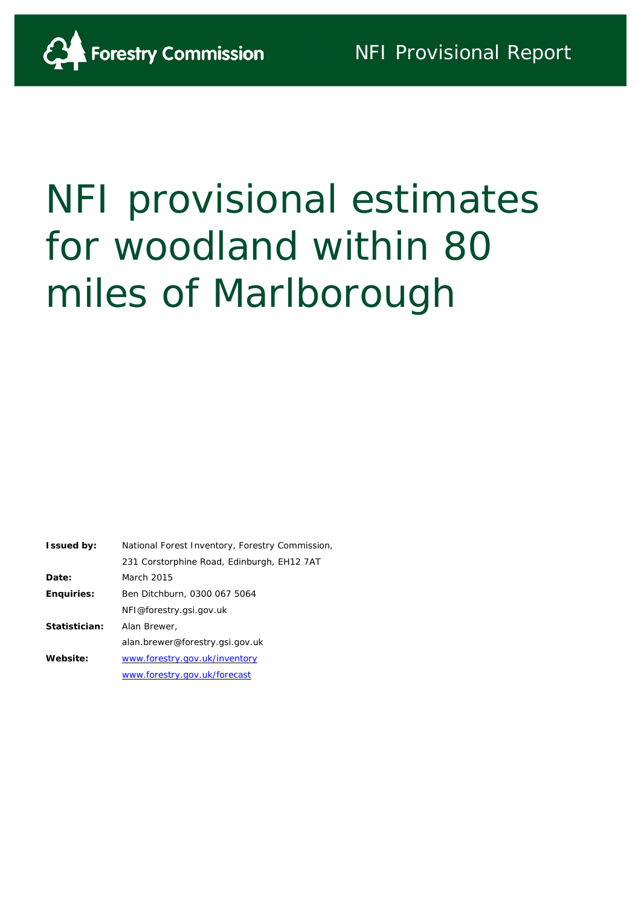

# NFI provisional estimates for woodland within 80 miles of Marlborough

| <b>Issued by:</b> | National Forest Inventory, Forestry Commission, |
|-------------------|-------------------------------------------------|
|                   | 231 Corstorphine Road, Edinburgh, EH12 7AT      |
| Date:             | March 2015                                      |
| <b>Enquiries:</b> | Ben Ditchburn, 0300 067 5064                    |
|                   | NFI@forestry.gsi.gov.uk                         |
| Statistician:     | Alan Brewer,                                    |
|                   | alan.brewer@forestry.gsi.gov.uk                 |
| Website:          | www.forestry.gov.uk/inventory                   |
|                   | www.forestry.gov.uk/forecast                    |
|                   |                                                 |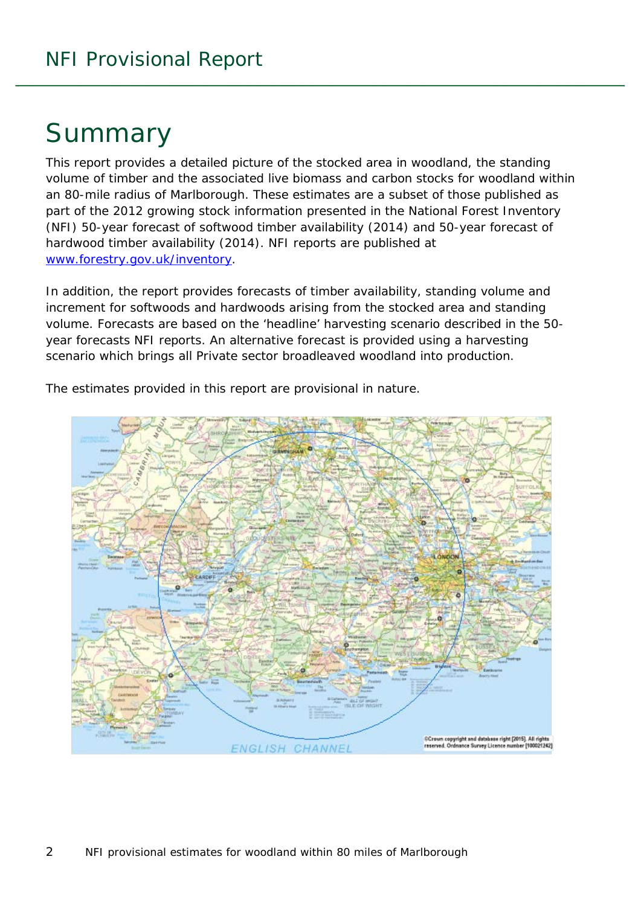# Summary

This report provides a detailed picture of the stocked area in woodland, the standing volume of timber and the associated live biomass and carbon stocks for woodland within an 80-mile radius of Marlborough. These estimates are a subset of those published as part of the 2012 growing stock information presented in the National Forest Inventory (NFI) *50-year forecast of softwood timber availability* (2014) and *50-year forecast of hardwood timber availability* (2014). NFI reports are published at [www.forestry.gov.uk/inventory.](http://www.forestry.gov.uk/inventory)

In addition, the report provides forecasts of timber availability, standing volume and increment for softwoods and hardwoods arising from the stocked area and standing volume. Forecasts are based on the 'headline' harvesting scenario described in the 50 year forecasts NFI reports. An alternative forecast is provided using a harvesting scenario which brings all Private sector broadleaved woodland into production.



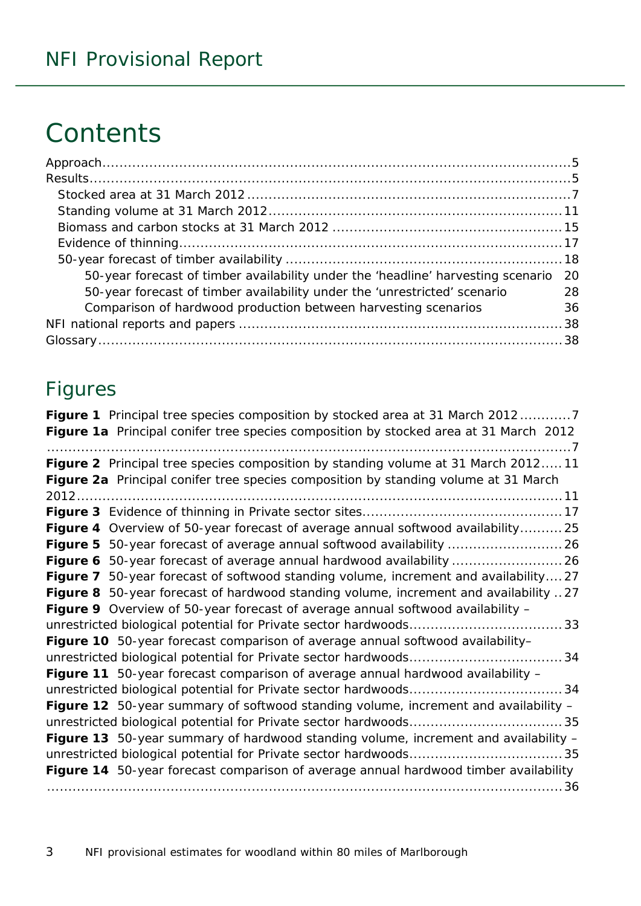# **Contents**

| 50-year forecast of timber availability under the 'headline' harvesting scenario 20 |    |
|-------------------------------------------------------------------------------------|----|
| 50-year forecast of timber availability under the 'unrestricted' scenario           | 28 |
| Comparison of hardwood production between harvesting scenarios                      | 36 |
|                                                                                     |    |
|                                                                                     |    |

### Figures

| Figure 1 Principal tree species composition by stocked area at 31 March 20127         |
|---------------------------------------------------------------------------------------|
| Figure 1a Principal conifer tree species composition by stocked area at 31 March 2012 |
| Figure 2 Principal tree species composition by standing volume at 31 March 201211     |
| Figure 2a Principal conifer tree species composition by standing volume at 31 March   |
|                                                                                       |
|                                                                                       |
| Figure 4 Overview of 50-year forecast of average annual softwood availability 25      |
|                                                                                       |
|                                                                                       |
| Figure 7 50-year forecast of softwood standing volume, increment and availability27   |
| Figure 8 50-year forecast of hardwood standing volume, increment and availability 27  |
| Figure 9 Overview of 50-year forecast of average annual softwood availability -       |
|                                                                                       |
| Figure 10 50-year forecast comparison of average annual softwood availability-        |
|                                                                                       |
| Figure 11 50-year forecast comparison of average annual hardwood availability -       |
|                                                                                       |
| Figure 12 50-year summary of softwood standing volume, increment and availability -   |
|                                                                                       |
| Figure 13 50-year summary of hardwood standing volume, increment and availability -   |
|                                                                                       |
| Figure 14 50-year forecast comparison of average annual hardwood timber availability  |
|                                                                                       |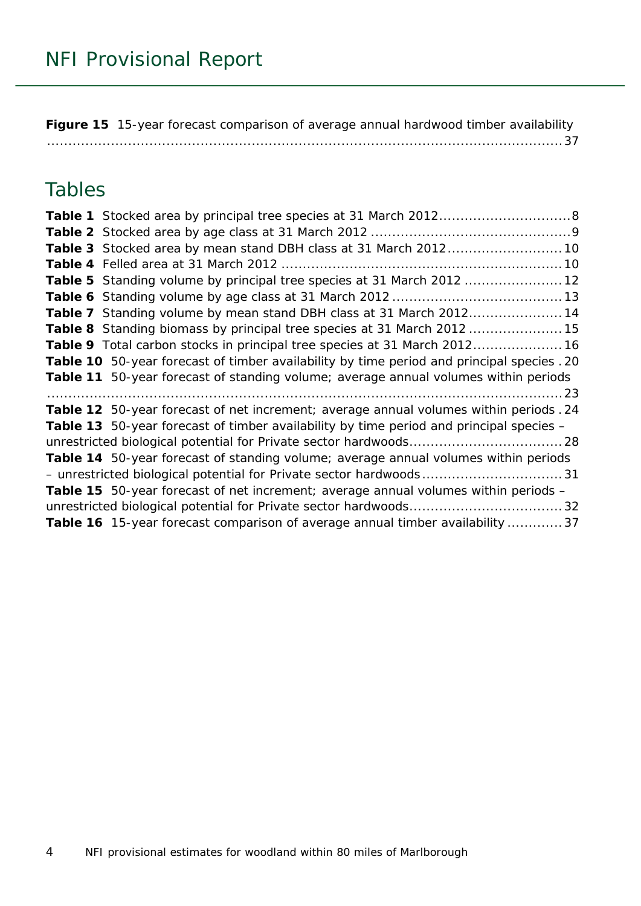**Figure 15** [15-year forecast comparison of average annual hardwood timber availability](#page-36-0) [.........................................................................................................................37](#page-36-0)

### Tables

| Table 3 Stocked area by mean stand DBH class at 31 March 2012 10                           |
|--------------------------------------------------------------------------------------------|
|                                                                                            |
| Table 5 Standing volume by principal tree species at 31 March 2012  12                     |
|                                                                                            |
| Table 7 Standing volume by mean stand DBH class at 31 March 201214                         |
| Table 8 Standing biomass by principal tree species at 31 March 2012  15                    |
| Table 9 Total carbon stocks in principal tree species at 31 March 2012 16                  |
| Table 10 50-year forecast of timber availability by time period and principal species . 20 |
| Table 11 50-year forecast of standing volume; average annual volumes within periods        |
|                                                                                            |
| Table 12 50-year forecast of net increment; average annual volumes within periods . 24     |
| Table 13 50-year forecast of timber availability by time period and principal species -    |
|                                                                                            |
| Table 14 50-year forecast of standing volume; average annual volumes within periods        |
|                                                                                            |
| <b>Table 15</b> 50-year forecast of net increment; average annual volumes within periods - |
|                                                                                            |
| Table 16 15-year forecast comparison of average annual timber availability  37             |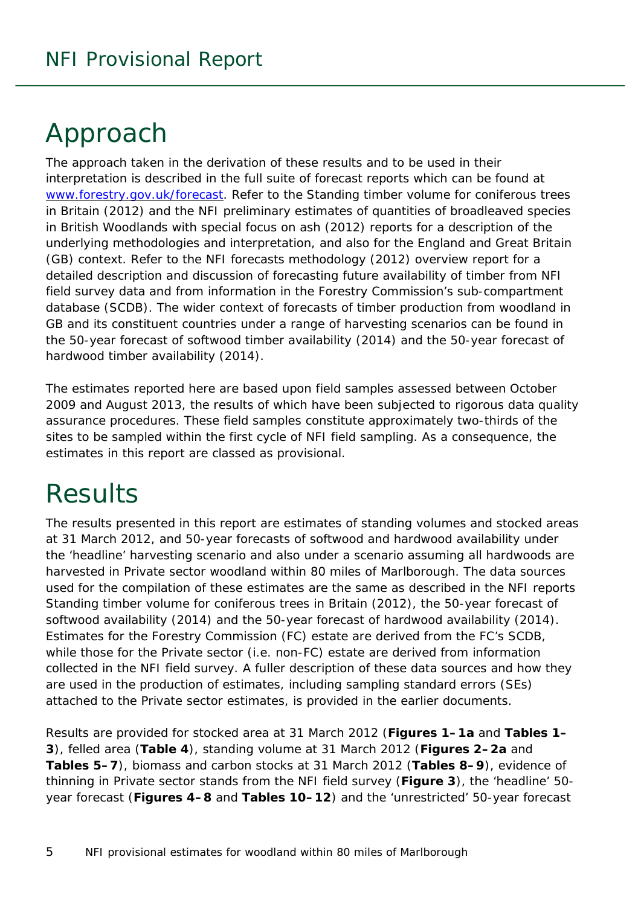# <span id="page-4-0"></span>Approach

The approach taken in the derivation of these results and to be used in their interpretation is described in the full suite of forecast reports which can be found at [www.forestry.gov.uk/forecast.](http://www.forestry.gov.uk/forecast) Refer to the *Standing timber volume for coniferous trees in Britain* (2012) and the *NFI preliminary estimates of quantities of broadleaved species in British Woodlands with special focus on ash* (2012) reports for a description of the underlying methodologies and interpretation, and also for the England and Great Britain (GB) context. Refer to the *NFI forecasts methodology* (2012) overview report for a detailed description and discussion of forecasting future availability of timber from NFI field survey data and from information in the Forestry Commission's sub-compartment database (SCDB). The wider context of forecasts of timber production from woodland in GB and its constituent countries under a range of harvesting scenarios can be found in the *50-year forecast of softwood timber availability* (2014) and the *50-year forecast of hardwood timber availability* (2014).

The estimates reported here are based upon field samples assessed between October 2009 and August 2013, the results of which have been subjected to rigorous data quality assurance procedures. These field samples constitute approximately two-thirds of the sites to be sampled within the first cycle of NFI field sampling. As a consequence, the estimates in this report are classed as provisional.

# <span id="page-4-1"></span>**Results**

The results presented in this report are estimates of standing volumes and stocked areas at 31 March 2012, and 50-year forecasts of softwood and hardwood availability under the 'headline' harvesting scenario and also under a scenario assuming all hardwoods are harvested in Private sector woodland within 80 miles of Marlborough. The data sources used for the compilation of these estimates are the same as described in the NFI reports *Standing timber volume for coniferous trees in Britain* (2012), the *50-year forecast of softwood availability* (2014) and the *50-year forecast of hardwood availability* (2014). Estimates for the Forestry Commission (FC) estate are derived from the FC's SCDB, while those for the Private sector (i.e. non-FC) estate are derived from information collected in the NFI field survey. A fuller description of these data sources and how they are used in the production of estimates, including sampling standard errors (SEs) attached to the Private sector estimates, is provided in the earlier documents.

Results are provided for stocked area at 31 March 2012 (**Figures 1–1a** and **Tables 1– 3**), felled area (**Table 4**), standing volume at 31 March 2012 (**Figures 2–2a** and **Tables 5–7**), biomass and carbon stocks at 31 March 2012 (**Tables 8–9**), evidence of thinning in Private sector stands from the NFI field survey (**Figure 3**), the 'headline' 50 year forecast (**Figures 4–8** and **Tables 10–12**) and the 'unrestricted' 50-year forecast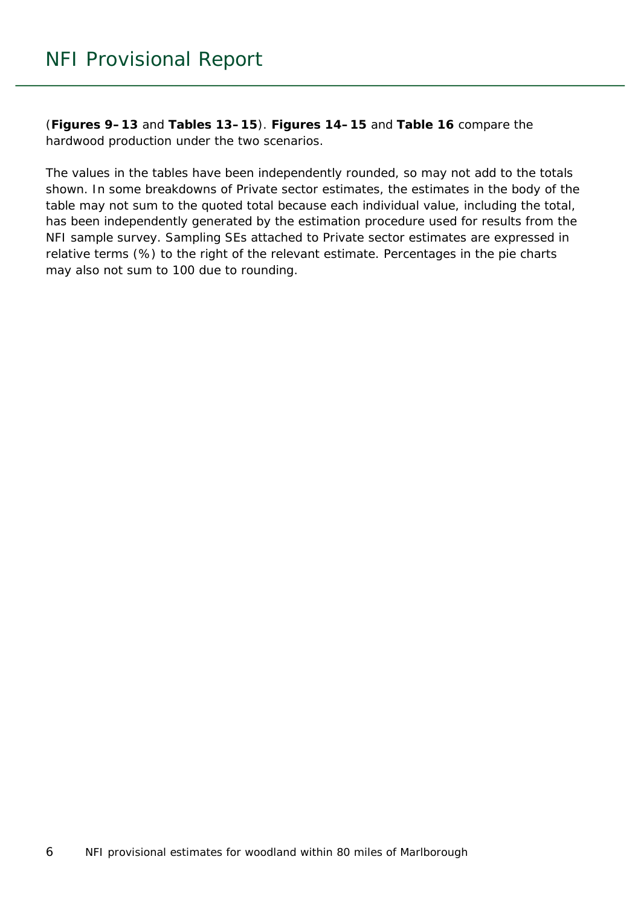(**Figures 9–13** and **Tables 13–15**). **Figures 14–15** and **Table 16** compare the hardwood production under the two scenarios.

The values in the tables have been independently rounded, so may not add to the totals shown. In some breakdowns of Private sector estimates, the estimates in the body of the table may not sum to the quoted total because each individual value, including the total, has been independently generated by the estimation procedure used for results from the NFI sample survey. Sampling SEs attached to Private sector estimates are expressed in relative terms (%) to the right of the relevant estimate. Percentages in the pie charts may also not sum to 100 due to rounding.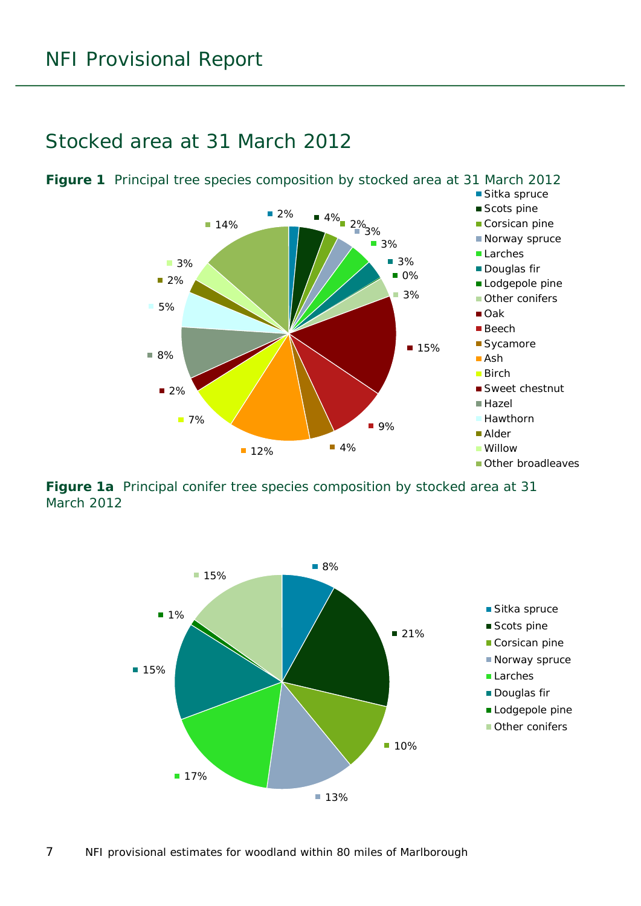<span id="page-6-1"></span>

#### <span id="page-6-0"></span>Stocked area at 31 March 2012

<span id="page-6-2"></span>**Figure 1a** Principal conifer tree species composition by stocked area at 31 March 2012

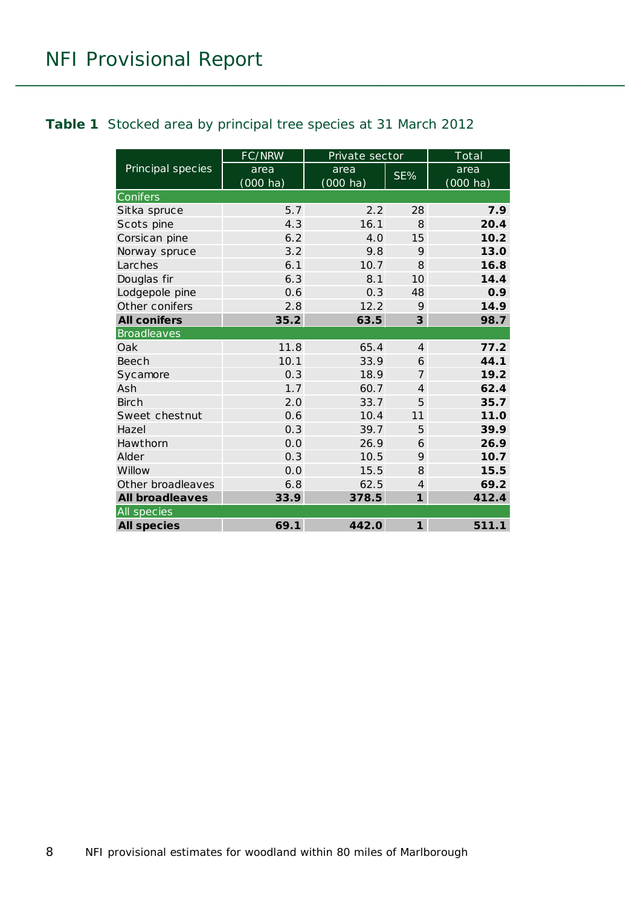#### <span id="page-7-0"></span>**Table 1** Stocked area by principal tree species at 31 March 2012

|                        | FC/NRW                     | Private sector             |                | Total                                          |
|------------------------|----------------------------|----------------------------|----------------|------------------------------------------------|
| Principal species      | area<br>$(000 \text{ ha})$ | area<br>$(000 \text{ ha})$ | SE%            | $\overline{\text{area}}$<br>$(000 \text{ ha})$ |
| Conifers               |                            |                            |                |                                                |
| Sitka spruce           | 5.7                        | 2.2                        | 28             | 7.9                                            |
| Scots pine             | 4.3                        | 16.1                       | $\mathcal{B}$  | 20.4                                           |
| Corsican pine          | 6.2                        | 4.0                        | 15             | 10.2                                           |
| Norway spruce          | 3.2                        | 9.8                        | 9              | 13.0                                           |
| Larches                | 6.1                        | 10.7                       | 8              | 16.8                                           |
| Douglas fir            | 6.3                        | 8.1                        | 10             | 14.4                                           |
| Lodgepole pine         | 0.6                        | 0.3                        | 48             | 0.9                                            |
| Other conifers         | 2.8                        | 12.2                       | 9              | 14.9                                           |
| <b>All conifers</b>    | 35.2                       | 63.5                       | 3              | 98.7                                           |
| <b>Broadleaves</b>     |                            |                            |                |                                                |
| Oak                    | 11.8                       | 65.4                       | $\overline{4}$ | 77.2                                           |
| Beech                  | 10.1                       | 33.9                       | 6              | 44.1                                           |
| Sycamore               | 0.3                        | 18.9                       | $\overline{7}$ | 19.2                                           |
| Ash                    | 1.7                        | 60.7                       | $\overline{4}$ | 62.4                                           |
| <b>Birch</b>           | 2.0                        | 33.7                       | 5              | 35.7                                           |
| Sweet chestnut         | 0.6                        | 10.4                       | 11             | 11.0                                           |
| Hazel                  | 0.3                        | 39.7                       | 5              | 39.9                                           |
| Hawthorn               | 0.0                        | 26.9                       | 6              | 26.9                                           |
| Alder                  | 0.3                        | 10.5                       | 9              | 10.7                                           |
| Willow                 | 0.0                        | 15.5                       | 8              | 15.5                                           |
| Other broadleaves      | 6.8                        | 62.5                       | $\overline{4}$ | 69.2                                           |
| <b>All broadleaves</b> | 33.9                       | 378.5                      | $\mathbf{1}$   | 412.4                                          |
| All species            |                            |                            |                |                                                |
| <b>All species</b>     | 69.1                       | 442.0                      | $\mathbf{1}$   | 511.1                                          |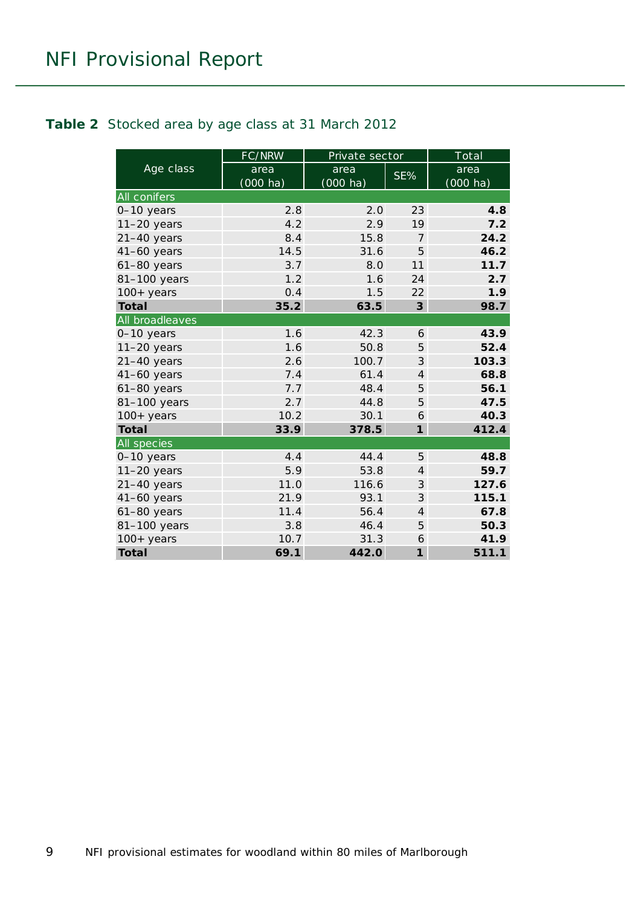#### <span id="page-8-0"></span>**Table 2** Stocked area by age class at 31 March 2012

|                     | FC/NRW           | Private sector             |                | Total                      |
|---------------------|------------------|----------------------------|----------------|----------------------------|
| Age class           | area<br>(000 ha) | area<br>$(000 \text{ ha})$ | SE%            | area<br>$(000 \text{ ha})$ |
| <b>All conifers</b> |                  |                            |                |                            |
| 0-10 years          | 2.8              | 2.0                        | 23             | 4.8                        |
| $11-20$ years       | 4.2              | 2.9                        | 19             | 7.2                        |
| $21 - 40$ years     | 8.4              | 15.8                       | $\overline{7}$ | 24.2                       |
| $41-60$ years       | 14.5             | 31.6                       | 5              | 46.2                       |
| $61-80$ years       | 3.7              | 8.0                        | 11             | 11.7                       |
| 81-100 years        | 1.2              | 1.6                        | 24             | 2.7                        |
| $100+$ years        | 0.4              | 1.5                        | 22             | 1.9                        |
| <b>Total</b>        | 35.2             | 63.5                       | 3              | 98.7                       |
| All broadleaves     |                  |                            |                |                            |
| 0-10 years          | 1.6              | 42.3                       | 6              | 43.9                       |
| $11-20$ years       | 1.6              | 50.8                       | 5              | 52.4                       |
| $21-40$ years       | 2.6              | 100.7                      | 3              | 103.3                      |
| $41-60$ years       | 7.4              | 61.4                       | $\overline{4}$ | 68.8                       |
| $61-80$ years       | 7.7              | 48.4                       | 5              | 56.1                       |
| 81-100 years        | 2.7              | 44.8                       | 5              | 47.5                       |
| $100+$ years        | 10.2             | 30.1                       | 6              | 40.3                       |
| <b>Total</b>        | 33.9             | 378.5                      | $\mathbf{1}$   | 412.4                      |
| All species         |                  |                            |                |                            |
| 0-10 years          | 4.4              | 44.4                       | 5              | 48.8                       |
| 11-20 years         | 5.9              | 53.8                       | $\overline{4}$ | 59.7                       |
| $21-40$ years       | 11.0             | 116.6                      | 3              | 127.6                      |
| $41-60$ years       | 21.9             | 93.1                       | 3              | 115.1                      |
| 61-80 years         | 11.4             | 56.4                       | $\overline{4}$ | 67.8                       |
| 81-100 years        | 3.8              | 46.4                       | 5              | 50.3                       |
| $100+$ years        | 10.7             | 31.3                       | 6              | 41.9                       |
| <b>Total</b>        | 69.1             | 442.0                      | $\mathbf{1}$   | 511.1                      |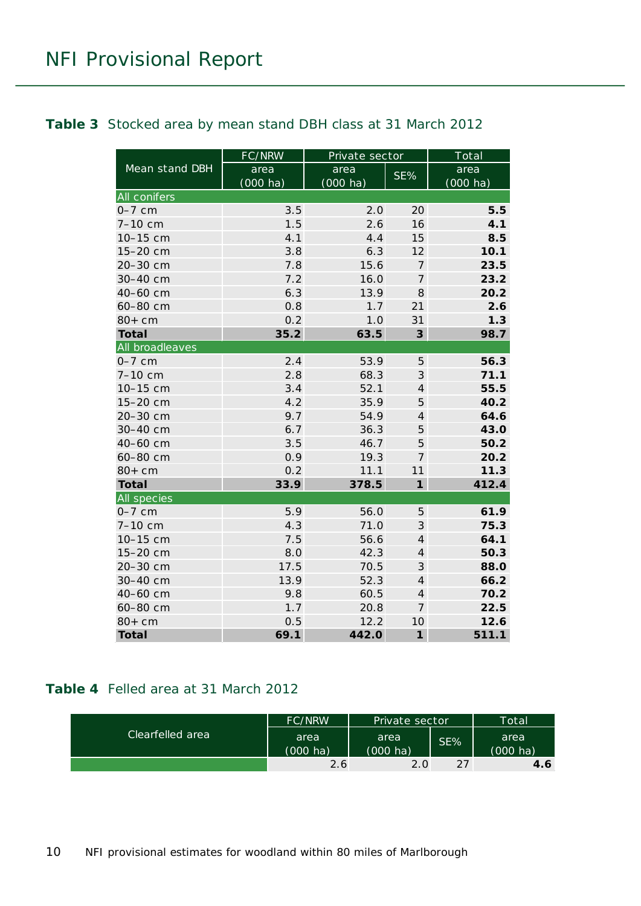#### <span id="page-9-0"></span>**Table 3** Stocked area by mean stand DBH class at 31 March 2012

|                     | <b>FC/NRW</b>      | Private sector     |                | Total              |
|---------------------|--------------------|--------------------|----------------|--------------------|
| Mean stand DBH      | area               | area               | SE%            | area               |
|                     | $(000 \text{ ha})$ | $(000 \text{ ha})$ |                | $(000 \text{ ha})$ |
| <b>All conifers</b> |                    |                    |                |                    |
| $0-7$ cm            | 3.5                | 2.0                | 20             | 5.5                |
| 7-10 cm             | 1.5                | 2.6                | 16             | 4.1                |
| 10-15 cm            | 4.1                | 4.4                | 15             | 8.5                |
| 15-20 cm            | 3.8                | 6.3                | 12             | 10.1               |
| 20-30 cm            | 7.8                | 15.6               | $\overline{7}$ | 23.5               |
| 30-40 cm            | 7.2                | 16.0               | 7              | 23.2               |
| 40-60 cm            | 6.3                | 13.9               | 8              | 20.2               |
| 60-80 cm            | 0.8                | 1.7                | 21             | 2.6                |
| $80+cm$             | 0.2                | 1.0                | 31             | 1.3                |
| <b>Total</b>        | 35.2               | 63.5               | $\mathbf{3}$   | 98.7               |
| All broadleaves     |                    |                    |                |                    |
| $0-7$ cm            | 2.4                | 53.9               | 5              | 56.3               |
| 7-10 cm             | 2.8                | 68.3               | $\mathfrak{Z}$ | 71.1               |
| 10-15 cm            | 3.4                | 52.1               | $\overline{4}$ | 55.5               |
| 15-20 cm            | 4.2                | 35.9               | 5              | 40.2               |
| 20-30 cm            | 9.7                | 54.9               | $\overline{4}$ | 64.6               |
| 30-40 cm            | 6.7                | 36.3               | 5              | 43.0               |
| 40-60 cm            | 3.5                | 46.7               | 5              | 50.2               |
| 60-80 cm            | 0.9                | 19.3               | $\overline{7}$ | 20.2               |
| $80+cm$             | 0.2                | 11.1               | 11             | 11.3               |
| <b>Total</b>        | 33.9               | 378.5              | $\mathbf{1}$   | 412.4              |
| All species         |                    |                    |                |                    |
| $0-7$ cm            | 5.9                | 56.0               | 5              | 61.9               |
| 7-10 cm             | 4.3                | 71.0               | $\mathfrak{Z}$ | 75.3               |
| 10-15 cm            | 7.5                | 56.6               | $\overline{4}$ | 64.1               |
| 15-20 cm            | 8.0                | 42.3               | $\overline{4}$ | 50.3               |
| 20-30 cm            | 17.5               | 70.5               | 3              | 88.0               |
| 30-40 cm            | 13.9               | 52.3               | $\overline{4}$ | 66.2               |
| 40-60 cm            | 9.8                | 60.5               | $\overline{4}$ | 70.2               |
| 60-80 cm            | 1.7                | 20.8               | $\overline{7}$ | 22.5               |
| $80+cm$             | 0.5                | 12.2               | 10             | 12.6               |
| <b>Total</b>        | 69.1               | 442.0              | $\mathbf{1}$   | 511.1              |

#### <span id="page-9-1"></span>**Table 4** Felled area at 31 March 2012

|                  | <b>FC/NRW</b>              | Private sector             |     | Totall           |
|------------------|----------------------------|----------------------------|-----|------------------|
| Clearfelled area | area<br>$(000 \text{ ha})$ | area<br>$(000 \text{ ha})$ | SE% | area<br>(000 ha) |
|                  | $2.6^{\circ}$              | 2.0                        | 27  | 4.6              |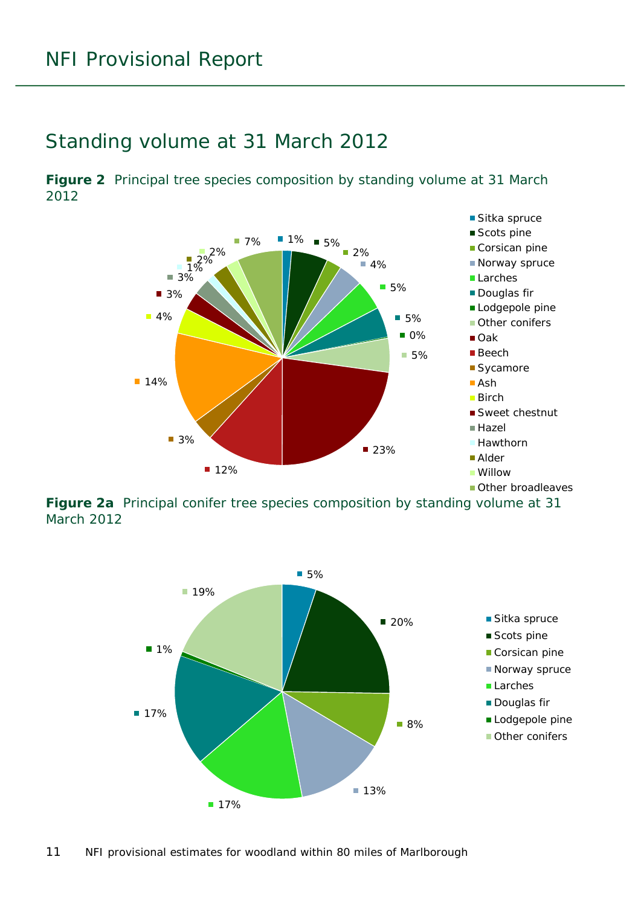#### <span id="page-10-0"></span>Standing volume at 31 March 2012

<span id="page-10-1"></span>**Figure 2** Principal tree species composition by standing volume at 31 March 2012



<span id="page-10-2"></span>**Figure 2a** Principal conifer tree species composition by standing volume at 31 March 2012

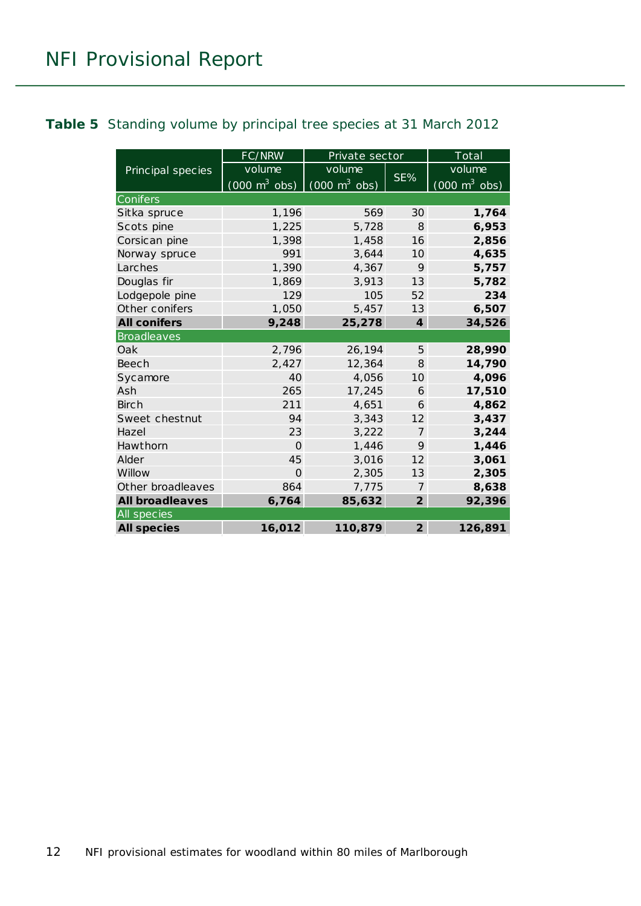#### <span id="page-11-0"></span>**Table 5** Standing volume by principal tree species at 31 March 2012

|                        | FC/NRW                          | Private sector                  |                  | $\overline{\text{Total}}$           |
|------------------------|---------------------------------|---------------------------------|------------------|-------------------------------------|
| Principal species      | volume                          | volume                          |                  | volume                              |
|                        | $(000 \text{ m}^3 \text{ obs})$ | $(000 \text{ m}^3 \text{ obs})$ | SE%              | $(000 \; \text{m}^3 \; \text{obs})$ |
| Conifers               |                                 |                                 |                  |                                     |
| Sitka spruce           | 1,196                           | 569                             | 30               | 1,764                               |
| Scots pine             | 1,225                           | 5,728                           | $\mathcal{B}$    | 6,953                               |
| Corsican pine          | 1,398                           | 1,458                           | 16               | 2,856                               |
| Norway spruce          | 991                             | 3,644                           | 10 <sup>2</sup>  | 4,635                               |
| Larches                | 1,390                           | 4,367                           | 9                | 5,757                               |
| Douglas fir            | 1,869                           | 3,913                           | 13               | 5,782                               |
| Lodgepole pine         | 129                             | 105                             | 52               | 234                                 |
| Other conifers         | 1,050                           | 5,457                           | 13               | 6,507                               |
| <b>All conifers</b>    | 9,248                           | 25,278                          | $\boldsymbol{4}$ | 34,526                              |
| <b>Broadleaves</b>     |                                 |                                 |                  |                                     |
| Oak                    | 2,796                           | 26,194                          | 5                | 28,990                              |
| <b>Beech</b>           | 2,427                           | 12,364                          | 8                | 14,790                              |
| Sycamore               | 40                              | 4,056                           | 10 <sup>1</sup>  | 4,096                               |
| Ash                    | 265                             | 17,245                          | 6                | 17,510                              |
| <b>Birch</b>           | 211                             | 4,651                           | 6                | 4,862                               |
| Sweet chestnut         | 94                              | 3,343                           | 12               | 3,437                               |
| Hazel                  | 23                              | 3,222                           | $\overline{7}$   | 3,244                               |
| Hawthorn               | $\Omega$                        | 1,446                           | 9                | 1,446                               |
| Alder                  | 45                              | 3,016                           | 12               | 3,061                               |
| Willow                 | $\Omega$                        | 2,305                           | 13               | 2,305                               |
| Other broadleaves      | 864                             | 7,775                           | 7                | 8,638                               |
| <b>All broadleaves</b> | 6,764                           | 85,632                          | $\overline{2}$   | 92,396                              |
| All species            |                                 |                                 |                  |                                     |
| <b>All species</b>     | 16,012                          | 110,879                         | $\overline{2}$   | 126,891                             |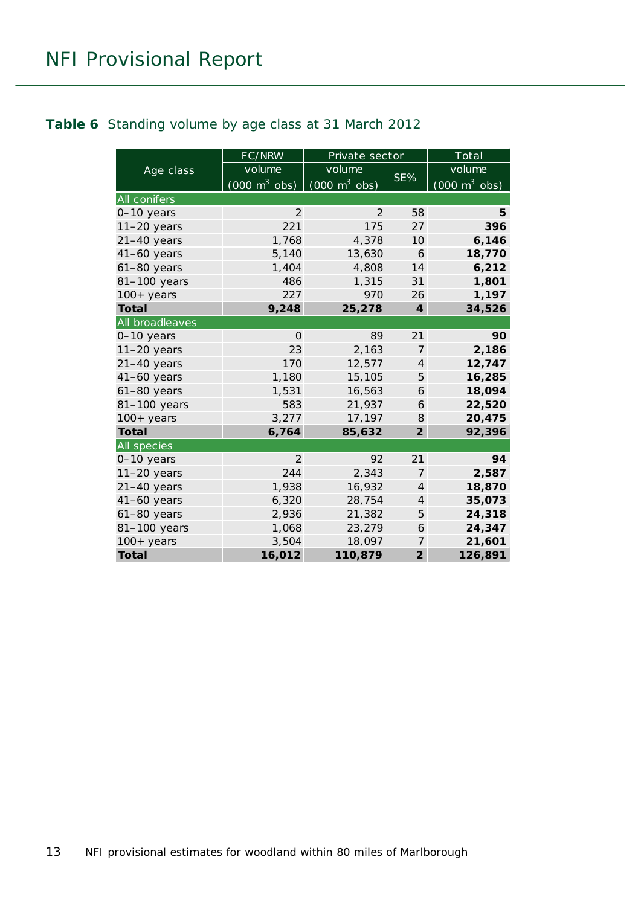#### <span id="page-12-0"></span>**Table 6** Standing volume by age class at 31 March 2012

|                     | FC/NRW                          | Private sector                  |                | Total                           |
|---------------------|---------------------------------|---------------------------------|----------------|---------------------------------|
| Age class           | volume                          | volume                          |                | volume                          |
|                     | $(000 \text{ m}^3 \text{ obs})$ | $(000 \text{ m}^3 \text{ obs})$ | SE%            | $(000 \text{ m}^3 \text{ obs})$ |
| <b>All conifers</b> |                                 |                                 |                |                                 |
| 0-10 years          | 2                               | 2                               | 58             | 5                               |
| $11-20$ years       | 221                             | 175                             | 27             | 396                             |
| $21-40$ years       | 1,768                           | 4,378                           | 10             | 6,146                           |
| 41-60 years         | 5,140                           | 13,630                          | 6              | 18,770                          |
| $61-80$ years       | 1,404                           | 4,808                           | 14             | 6,212                           |
| 81-100 years        | 486                             | 1,315                           | 31             | 1,801                           |
| $100+$ years        | 227                             | 970                             | 26             | 1,197                           |
| <b>Total</b>        | 9,248                           | 25,278                          | $\overline{4}$ | 34,526                          |
| All broadleaves     |                                 |                                 |                |                                 |
| $0-10$ years        | $\Omega$                        | 89                              | 21             | 90                              |
| $11-20$ years       | 23                              | 2,163                           | $\overline{7}$ | 2,186                           |
| $21-40$ years       | 170                             | 12,577                          | $\overline{4}$ | 12,747                          |
| $41-60$ years       | 1,180                           | 15,105                          | 5              | 16,285                          |
| 61-80 years         | 1,531                           | 16,563                          | 6              | 18,094                          |
| 81-100 years        | 583                             | 21,937                          | 6              | 22,520                          |
| $100+$ years        | 3,277                           | 17,197                          | 8              | 20,475                          |
| <b>Total</b>        | 6,764                           | 85,632                          | $\overline{2}$ | 92,396                          |
| All species         |                                 |                                 |                |                                 |
| 0-10 years          | 2                               | 92                              | 21             | 94                              |
| $11-20$ years       | 244                             | 2,343                           | 7              | 2,587                           |
| $21-40$ years       | 1,938                           | 16,932                          | $\overline{4}$ | 18,870                          |
| $41-60$ years       | 6,320                           | 28,754                          | $\overline{4}$ | 35,073                          |
| 61-80 years         | 2,936                           | 21,382                          | 5              | 24,318                          |
| 81-100 years        | 1,068                           | 23,279                          | 6              | 24,347                          |
| $100+years$         | 3,504                           | 18,097                          | 7              | 21,601                          |
| <b>Total</b>        | 16,012                          | 110,879                         | $\overline{2}$ | 126,891                         |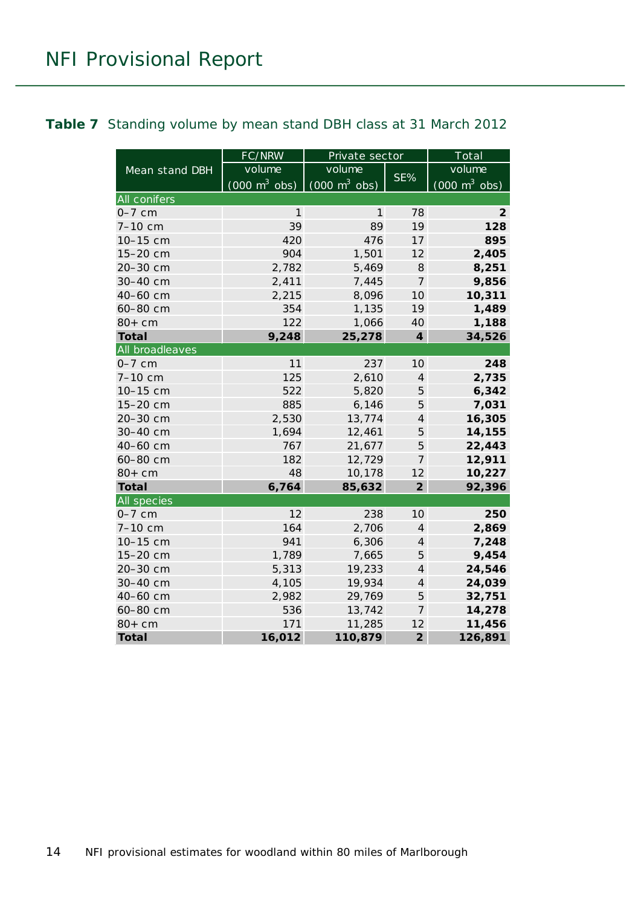#### <span id="page-13-0"></span>**Table 7** Standing volume by mean stand DBH class at 31 March 2012

|                    | FC/NRW                          | Private sector                  |                               | Total                           |
|--------------------|---------------------------------|---------------------------------|-------------------------------|---------------------------------|
| Mean stand DBH     | volume                          | volume                          |                               | volume                          |
|                    | $(000 \text{ m}^3 \text{ obs})$ | $(000 \text{ m}^3 \text{ obs})$ | SE%                           | $(000 \text{ m}^3 \text{ obs})$ |
| All conifers       |                                 |                                 |                               |                                 |
| $0-7$ cm           | 1                               | 1                               | 78                            | 2                               |
| 7-10 cm            | 39                              | 89                              | 19                            | 128                             |
| 10-15 cm           | 420                             | 476                             | 17                            | 895                             |
| 15-20 cm           | 904                             | 1,501                           | 12                            | 2,405                           |
| 20-30 cm           | 2,782                           | 5,469                           | 8                             | 8,251                           |
| 30-40 cm           | 2,411                           | 7,445                           | 7                             | 9,856                           |
| 40-60 cm           | 2,215                           | 8,096                           | 10 <sup>°</sup>               | 10,311                          |
| 60-80 cm           | 354                             | 1,135                           | 19                            | 1,489                           |
| $80+cm$            | 122                             | 1,066                           | 40                            | 1,188                           |
| <b>Total</b>       | 9,248                           | 25,278                          | $\overline{\mathbf{4}}$       | 34,526                          |
| All broadleaves    |                                 |                                 |                               |                                 |
| $0-7$ cm           | 11                              | 237                             | 10                            | 248                             |
| 7-10 cm            | 125                             | 2,610                           | $\overline{4}$                | 2,735                           |
| 10-15 cm           | 522                             | 5,820                           | $\sqrt{5}$                    | 6,342                           |
| 15-20 cm           | 885                             | 6,146                           | 5                             | 7,031                           |
| 20-30 cm           | 2,530                           | 13,774                          | $\overline{4}$                | 16,305                          |
| 30-40 cm           | 1,694                           | 12,461                          | 5                             | 14,155                          |
| 40-60 cm           | 767                             | 21,677                          | 5                             | 22,443                          |
| 60-80 cm           | 182                             | 12,729                          | 7                             | 12,911                          |
| $80+cm$            | 48                              | 10,178                          | 12                            | 10,227                          |
| <b>Total</b>       | 6,764                           | 85,632                          | $\overline{2}$                | 92,396                          |
| <b>All species</b> |                                 |                                 |                               |                                 |
| $0-7$ cm           | 12                              | 238                             | 10 <sup>1</sup>               | 250                             |
| $7 - 10$ cm        | 164                             | 2,706                           | $\overline{4}$                | 2,869                           |
| 10-15 cm           | 941                             | 6,306                           | $\ensuremath{\mathnormal{4}}$ | 7,248                           |
| 15-20 cm           | 1,789                           | 7,665                           | 5                             | 9,454                           |
| 20-30 cm           | 5,313                           | 19,233                          | $\overline{4}$                | 24,546                          |
| 30-40 cm           | 4,105                           | 19,934                          | $\overline{4}$                | 24,039                          |
| 40-60 cm           | 2,982                           | 29,769                          | 5                             | 32,751                          |
| 60-80 cm           | 536                             | 13,742                          | $\overline{7}$                | 14,278                          |
| $80+cm$            | 171                             | 11,285                          | 12                            | 11,456                          |
| <b>Total</b>       | 16,012                          | 110,879                         | $\overline{2}$                | 126,891                         |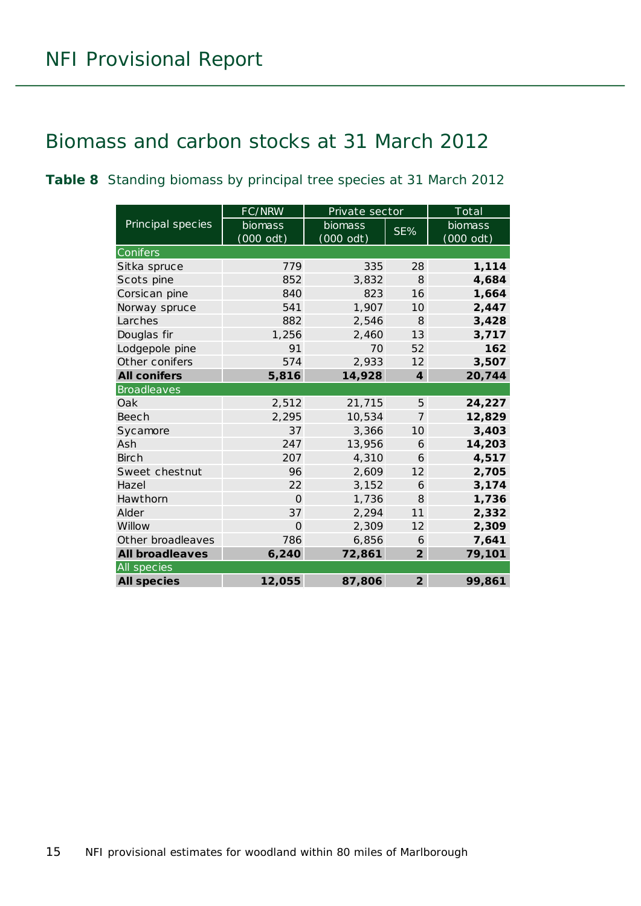### <span id="page-14-0"></span>Biomass and carbon stocks at 31 March 2012

<span id="page-14-1"></span>**Table 8** Standing biomass by principal tree species at 31 March 2012

|                        | FC/NRW              | Private sector |                  | Total               |
|------------------------|---------------------|----------------|------------------|---------------------|
| Principal species      | biomass             | biomass        | SE%              | biomass             |
|                        | $(000 \text{ odt})$ | $(000$ odt)    |                  | $(000 \text{ odt})$ |
| Conifers               |                     |                |                  |                     |
| Sitka spruce           | 779                 | 335            | 28               | 1,114               |
| Scots pine             | 852                 | 3,832          | 8                | 4,684               |
| Corsican pine          | 840                 | 823            | 16               | 1,664               |
| Norway spruce          | 541                 | 1,907          | 10               | 2,447               |
| Larches                | 882                 | 2,546          | 8                | 3,428               |
| Douglas fir            | 1,256               | 2,460          | 13               | 3,717               |
| Lodgepole pine         | 91                  | 70             | 52               | 162                 |
| Other conifers         | 574                 | 2,933          | 12               | 3,507               |
| <b>All conifers</b>    | 5,816               | 14,928         | $\boldsymbol{4}$ | 20,744              |
| <b>Broadleaves</b>     |                     |                |                  |                     |
| Oak                    | 2,512               | 21,715         | 5                | 24,227              |
| <b>Beech</b>           | 2,295               | 10,534         | $\overline{7}$   | 12,829              |
| Sycamore               | 37                  | 3,366          | 10               | 3,403               |
| Ash                    | 247                 | 13,956         | 6                | 14,203              |
| <b>Birch</b>           | 207                 | 4,310          | 6                | 4,517               |
| Sweet chestnut         | 96                  | 2,609          | 12               | 2,705               |
| Hazel                  | 22                  | 3,152          | 6                | 3,174               |
| Hawthorn               | $\Omega$            | 1,736          | 8                | 1,736               |
| Alder                  | 37                  | 2,294          | 11               | 2,332               |
| Willow                 | $\Omega$            | 2,309          | 12               | 2,309               |
| Other broadleaves      | 786                 | 6,856          | 6                | 7,641               |
| <b>All broadleaves</b> | 6,240               | 72,861         | $\overline{2}$   | 79,101              |
| All species            |                     |                |                  |                     |
| <b>All species</b>     | 12,055              | 87,806         | $\overline{2}$   | 99,861              |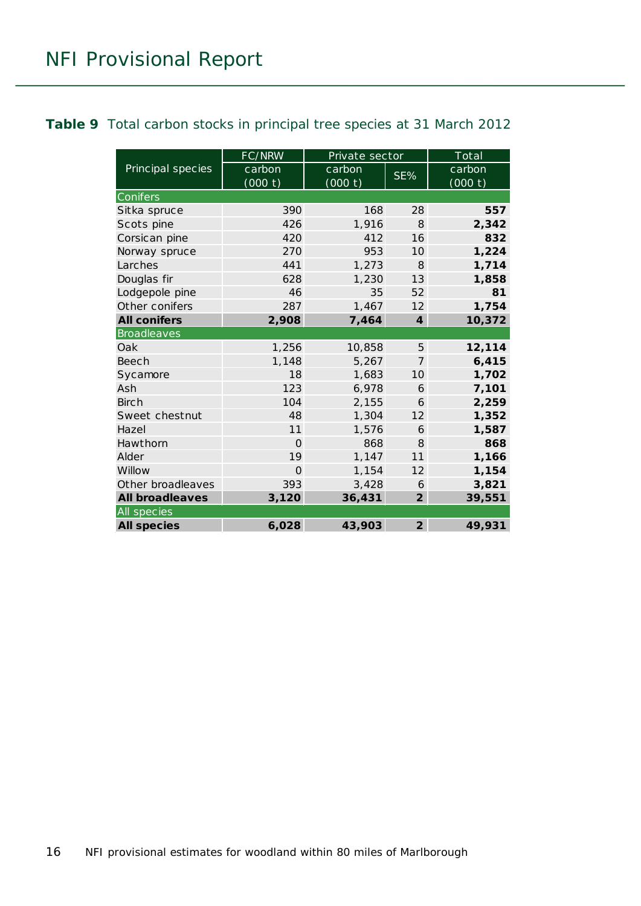#### <span id="page-15-0"></span>**Table 9** Total carbon stocks in principal tree species at 31 March 2012

|                        | FC/NRW   | Private sector |                  | Total   |  |  |
|------------------------|----------|----------------|------------------|---------|--|--|
| Principal species      | carbon   | carbon         | SE%              | carbon  |  |  |
|                        | (000 t)  | (000 t)        |                  | (000 t) |  |  |
| Conifers               |          |                |                  |         |  |  |
| Sitka spruce           | 390      | 168            | 28               | 557     |  |  |
| Scots pine             | 426      | 1,916          | $\mathcal{B}$    | 2,342   |  |  |
| Corsican pine          | 420      | 412            | 16               | 832     |  |  |
| Norway spruce          | 270      | 953            | 10 <sup>1</sup>  | 1,224   |  |  |
| Larches                | 441      | 1,273          | $\mathcal{B}$    | 1,714   |  |  |
| Douglas fir            | 628      | 1,230          | 13               | 1,858   |  |  |
| Lodgepole pine         | 46       | 35             | 52               | 81      |  |  |
| Other conifers         | 287      | 1,467          | 12               | 1,754   |  |  |
| <b>All conifers</b>    | 2,908    | 7,464          | $\boldsymbol{4}$ | 10,372  |  |  |
| <b>Broadleaves</b>     |          |                |                  |         |  |  |
| Oak                    | 1,256    | 10,858         | 5                | 12,114  |  |  |
| Beech                  | 1,148    | 5,267          | $\overline{7}$   | 6,415   |  |  |
| Sycamore               | 18       | 1,683          | 10 <sup>1</sup>  | 1,702   |  |  |
| Ash                    | 123      | 6,978          | 6                | 7,101   |  |  |
| <b>Birch</b>           | 104      | 2,155          | 6                | 2,259   |  |  |
| Sweet chestnut         | 48       | 1,304          | 12               | 1,352   |  |  |
| Hazel                  | 11       | 1,576          | 6                | 1,587   |  |  |
| Hawthorn               | $\Omega$ | 868            | 8                | 868     |  |  |
| Alder                  | 19       | 1,147          | 11               | 1,166   |  |  |
| Willow                 | $\Omega$ | 1,154          | 12               | 1,154   |  |  |
| Other broadleaves      | 393      | 3,428          | 6                | 3,821   |  |  |
| <b>All broadleaves</b> | 3,120    | 36,431         | $\overline{2}$   | 39,551  |  |  |
| All species            |          |                |                  |         |  |  |
| <b>All species</b>     | 6,028    | 43,903         | $\overline{2}$   | 49,931  |  |  |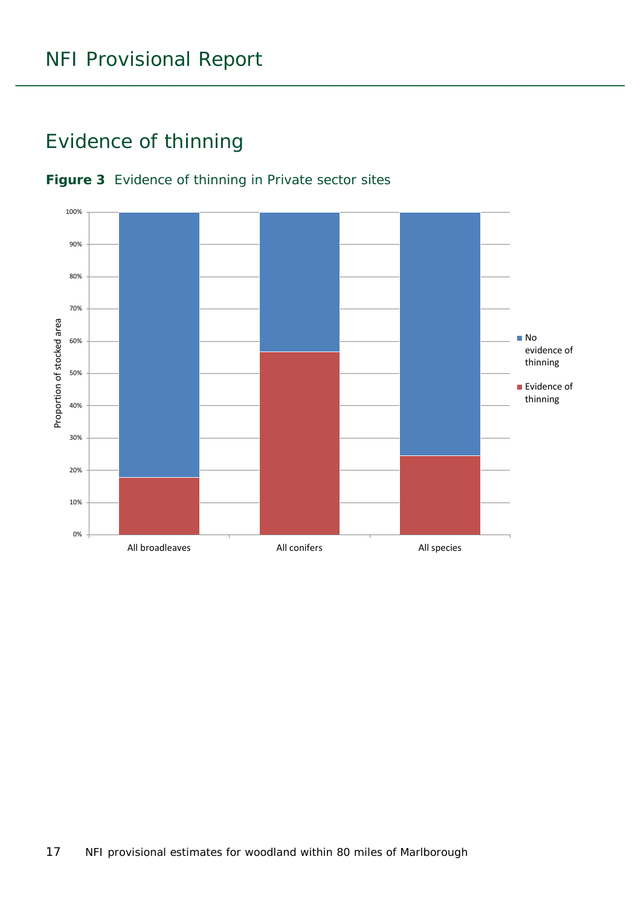### <span id="page-16-0"></span>Evidence of thinning



#### <span id="page-16-1"></span>**Figure 3** Evidence of thinning in Private sector sites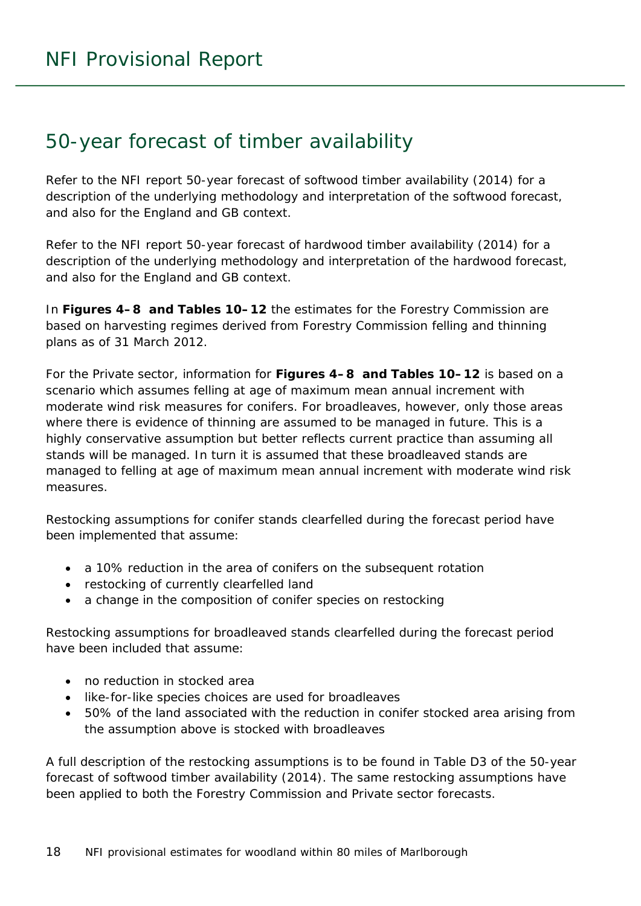### <span id="page-17-0"></span>50-year forecast of timber availability

Refer to the NFI report *50-year forecast of softwood timber availability* (2014) for a description of the underlying methodology and interpretation of the softwood forecast, and also for the England and GB context.

Refer to the NFI report *50-year forecast of hardwood timber availability* (2014) for a description of the underlying methodology and interpretation of the hardwood forecast, and also for the England and GB context.

In **Figures 4–8 and Tables 10–12** the estimates for the Forestry Commission are based on harvesting regimes derived from Forestry Commission felling and thinning plans as of 31 March 2012.

For the Private sector, information for **Figures 4–8 and Tables 10–12** is based on a scenario which assumes felling at age of maximum mean annual increment with moderate wind risk measures for conifers. For broadleaves, however, only those areas where there is evidence of thinning are assumed to be managed in future. This is a highly conservative assumption but better reflects current practice than assuming all stands will be managed. In turn it is assumed that these broadleaved stands are managed to felling at age of maximum mean annual increment with moderate wind risk measures.

Restocking assumptions for conifer stands clearfelled during the forecast period have been implemented that assume:

- a 10% reduction in the area of conifers on the subsequent rotation
- restocking of currently clearfelled land
- a change in the composition of conifer species on restocking

Restocking assumptions for broadleaved stands clearfelled during the forecast period have been included that assume:

- no reduction in stocked area
- like-for-like species choices are used for broadleaves
- 50% of the land associated with the reduction in conifer stocked area arising from the assumption above is stocked with broadleaves

A full description of the restocking assumptions is to be found in Table D3 of the *50-year forecast of softwood timber availability* (2014). The same restocking assumptions have been applied to both the Forestry Commission and Private sector forecasts.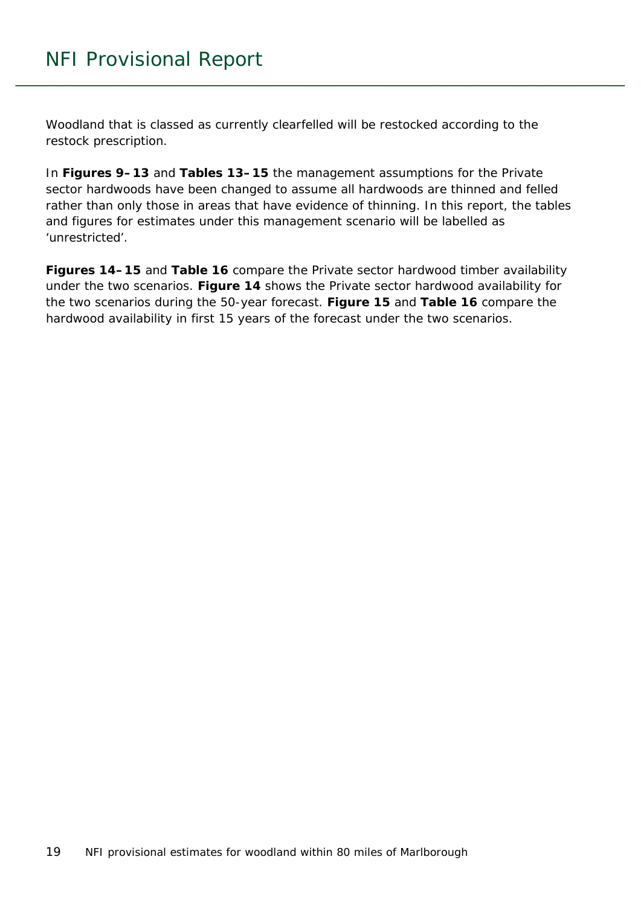Woodland that is classed as currently clearfelled will be restocked according to the restock prescription.

In **Figures 9–13** and **Tables 13–15** the management assumptions for the Private sector hardwoods have been changed to assume all hardwoods are thinned and felled rather than only those in areas that have evidence of thinning. In this report, the tables and figures for estimates under this management scenario will be labelled as 'unrestricted'.

**Figures 14–15** and **Table 16** compare the Private sector hardwood timber availability under the two scenarios. **Figure 14** shows the Private sector hardwood availability for the two scenarios during the 50-year forecast. **Figure 15** and **Table 16** compare the hardwood availability in first 15 years of the forecast under the two scenarios.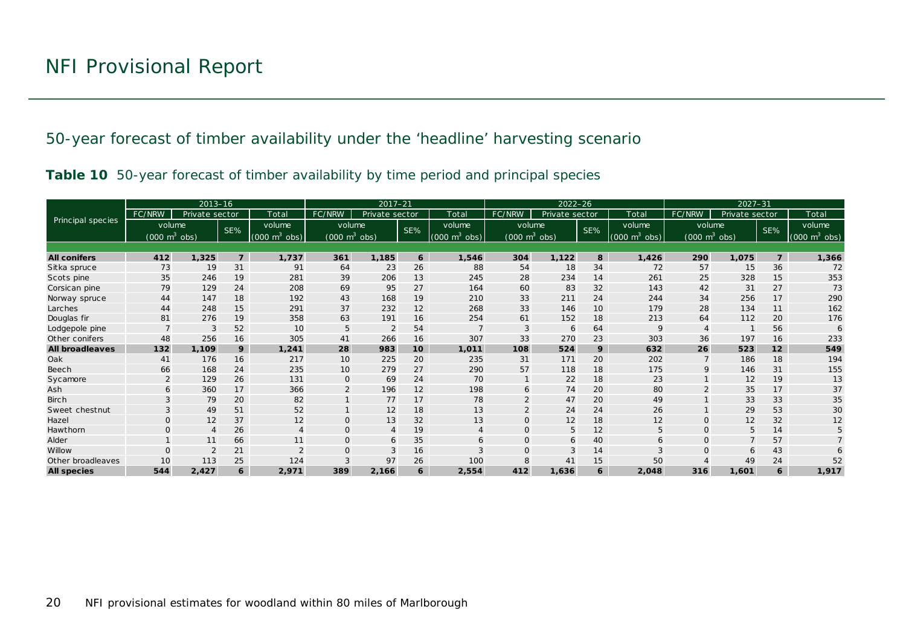50-year forecast of timber availability under the 'headline' harvesting scenario

|  |  | Table 10 50-year forecast of timber availability by time period and principal species |  |  |
|--|--|---------------------------------------------------------------------------------------|--|--|
|  |  |                                                                                       |  |  |

<span id="page-19-1"></span><span id="page-19-0"></span>

|                        |                                 | $2013 - 16$    |                |                                 | $2017 - 21$<br>$2022 - 26$      |                |     |                             | $2027 - 31$                     |                |     |                                 |                                 |                |                |                                 |
|------------------------|---------------------------------|----------------|----------------|---------------------------------|---------------------------------|----------------|-----|-----------------------------|---------------------------------|----------------|-----|---------------------------------|---------------------------------|----------------|----------------|---------------------------------|
|                        | FC/NRW                          | Private sector |                | Total                           | FC/NRW                          | Private sector |     | Total                       | FC/NRW                          | Private sector |     | Total                           | FC/NRW                          | Private sector |                | Total                           |
| Principal species      | volume                          |                | SE%            | volume                          | volume                          |                | SE% | volume                      | volume                          |                | SE% | volume                          | volume                          |                | SE%            | volume                          |
|                        | $(000 \text{ m}^3 \text{ obs})$ |                |                | $(000 \text{ m}^3 \text{ obs})$ | $(000 \text{ m}^3 \text{ obs})$ |                |     | $(000 \text{ m}^3)$<br>obs) | $(000 \text{ m}^3 \text{ obs})$ |                |     | $(000 \text{ m}^3 \text{ obs})$ | $(000 \text{ m}^3 \text{ obs})$ |                |                | $(000 \text{ m}^3 \text{ obs})$ |
|                        |                                 |                |                |                                 |                                 |                |     |                             |                                 |                |     |                                 |                                 |                |                |                                 |
| <b>All conifers</b>    | 412                             | 1,325          | $\overline{7}$ | 1,737                           | 361                             | 1,185          | 6   | 1,546                       | 304                             | 1,122          | 8   | 1,426                           | 290                             | 1,075          | $\overline{7}$ | 1,366                           |
| Sitka spruce           | 73                              | 19             | 31             | 91                              | 64                              | 23             | 26  | 88                          | 54                              | 18             | 34  | 72                              | 57                              | 15             | 36             | 72                              |
| Scots pine             | 35                              | 246            | 19             | 281                             | 39                              | 206            | 13  | 245                         | 28                              | 234            | 14  | 261                             | 25                              | 328            | 15             | 353                             |
| Corsican pine          | 79                              | 129            | 24             | 208                             | 69                              | 95             | 27  | 164                         | 60                              | 83             | 32  | 143                             | 42                              | 31             | 27             | 73                              |
| Norway spruce          | 44                              | 147            | 18             | 192                             | 43                              | 168            | 19  | 210                         | 33                              | 211            | 24  | 244                             | 34                              | 256            | 17             | 290                             |
| Larches                | 44                              | 248            | 15             | 291                             | 37                              | 232            | 12  | 268                         | 33                              | 146            | 10  | 179                             | 28                              | 134            | 11             | 162                             |
| Douglas fir            | 81                              | 276            | 19             | 358                             | 63                              | 191            | 16  | 254                         | 61                              | 152            | 18  | 213                             | 64                              | 112            | 20             | 176                             |
| Lodgepole pine         |                                 | 3              | 52             | 10                              | 5                               | $\overline{2}$ | 54  |                             | 3                               | 6              | 64  | $\mathsf{Q}$                    |                                 |                | 56             | 6                               |
| Other conifers         | 48                              | 256            | 16             | 305                             | 41                              | 266            | 16  | 307                         | 33                              | 270            | 23  | 303                             | 36                              | 197            | 16             | 233                             |
| <b>All broadleaves</b> | 132                             | 1,109          | 9              | 1,241                           | 28                              | 983            | 10  | 1,011                       | 108                             | 524            | 9   | 632                             | 26                              | 523            | 12             | 549                             |
| Oak                    | 41                              | 176            | 16             | 217                             | 10                              | 225            | 20  | 235                         | 31                              | 171            | 20  | 202                             |                                 | 186            | 18             | 194                             |
| Beech                  | 66                              | 168            | 24             | 235                             | 10                              | 279            | 27  | 290                         | 57                              | 118            | 18  | 175                             | 9                               | 146            | 31             | 155                             |
| Sycamore               | $\overline{2}$                  | 129            | 26             | 131                             | $\mathbf 0$                     | 69             | 24  | 70                          |                                 | 22             | 18  | 23                              |                                 | 12             | 19             | 13                              |
| Ash                    | 6                               | 360            | 17             | 366                             | $\overline{2}$                  | 196            | 12  | 198                         | 6                               | 74             | 20  | 80                              |                                 | 35             | 17             | 37                              |
| <b>Birch</b>           |                                 | 79             | 20             | 82                              |                                 | 77             | 17  | 78                          |                                 | 47             | 20  | 49                              |                                 | 33             | 33             | 35                              |
| Sweet chestnut         |                                 | 49             | 51             | 52                              |                                 | 12             | 18  | 13                          |                                 | 24             | 24  | 26                              |                                 | 29             | 53             | 30                              |
| Hazel                  | $\Omega$                        | 12             | 37             | 12                              | $\mathbf{O}$                    | 13             | 32  | 13                          | $\Omega$                        | 12             | 18  | 12                              | $\Omega$                        | 12             | 32             | 12                              |
| Hawthorn               | $\Omega$                        | $\overline{4}$ | 26             | 4                               | $\mathbf{O}$                    | $\overline{4}$ | 19  | $\overline{4}$              | $\mathbf{O}$                    | 5              | 12  | 5                               | $\mathbf{O}$                    | 5              | 14             | 5                               |
| Alder                  |                                 | 11             | 66             | 11                              | $\mathbf{O}$                    | 6              | 35  | 6                           | $\Omega$                        | 6              | 40  |                                 | $\Omega$                        |                | 57             |                                 |
| Willow                 | $\Omega$                        |                | 21             | $\Omega$                        | $\mathbf{O}$                    | 3              | 16  | 3                           |                                 | 3              | 14  |                                 | $\mathcal{C}$                   | 6              | 43             |                                 |
| Other broadleaves      | 10                              | 113            | 25             | 124                             | 3                               | 97             | 26  | 100                         |                                 | 41             | 15  | 50                              |                                 | 49             | 24             | 52                              |
| <b>All species</b>     | 544                             | 2,427          | 6              | 2,971                           | 389                             | 2,166          | 6   | 2,554                       | 412                             | 1,636          | 6   | 2,048                           | 316                             | 1,601          | 6              | 1,917                           |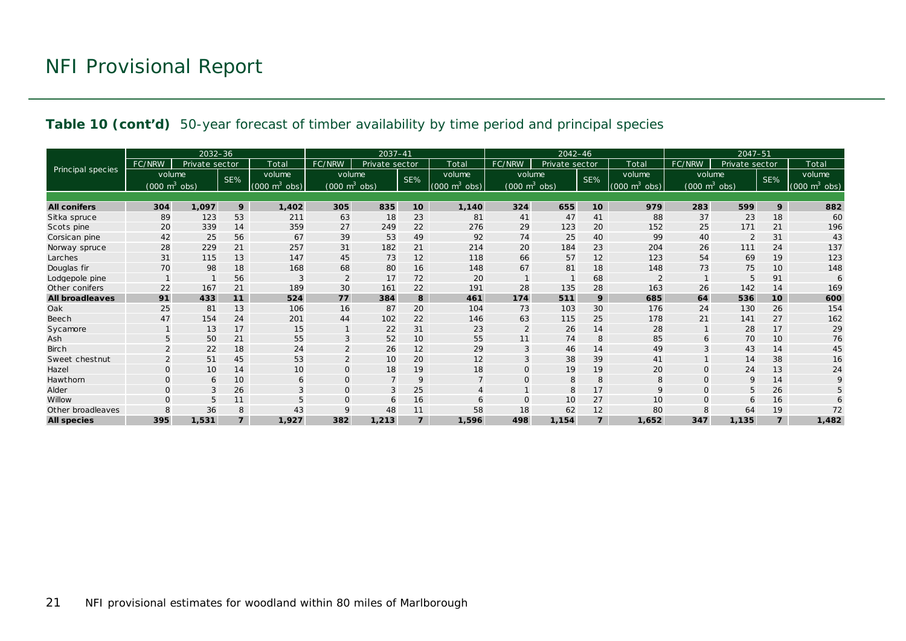#### **Table 10 (cont'd)** 50-year forecast of timber availability by time period and principal species

|                        |                                 | $2032 - 36$    |                |                                 |                                 | $2037 - 41$    |                 |                             | $2042 - 46$                         |                |                |                                 | $2047 - 51$                         |                |                |                                 |
|------------------------|---------------------------------|----------------|----------------|---------------------------------|---------------------------------|----------------|-----------------|-----------------------------|-------------------------------------|----------------|----------------|---------------------------------|-------------------------------------|----------------|----------------|---------------------------------|
|                        | FC/NRW                          | Private sector |                | Total                           | FC/NRW                          | Private sector |                 | Total                       | FC/NRW                              | Private sector |                | Total                           | FC/NRW                              | Private sector |                | Total                           |
| Principal species      | volume                          |                | SE%            | volume                          | volume                          |                | SE%             | volume                      | volume                              |                | SE%            | volume                          | volume                              |                | SE%            | volume                          |
|                        | $(000 \text{ m}^3 \text{ obs})$ |                |                | $(000 \text{ m}^3 \text{ obs})$ | $(000 \text{ m}^3 \text{ obs})$ |                |                 | $(000 \text{ m}^3)$<br>obs) | $(000 \; \text{m}^3 \; \text{obs})$ |                |                | $(000 \text{ m}^3 \text{ obs})$ | $(000 \; \text{m}^3 \; \text{obs})$ |                |                | $(000 \text{ m}^3 \text{ obs})$ |
|                        |                                 |                |                |                                 |                                 |                |                 |                             |                                     |                |                |                                 |                                     |                |                |                                 |
| <b>All conifers</b>    | 304                             | 1,097          | 9              | 1,402                           | 305                             | 835            | 10 <sup>1</sup> | 1,140                       | 324                                 | 655            | 10             | 979                             | 283                                 | 599            | 9              | 882                             |
| Sitka spruce           | 89                              | 123            | 53             | 211                             | 63                              | 18             | 23              | 81                          | 41                                  | 47             | 41             | 88                              | 37                                  | 23             | 18             | 60                              |
| Scots pine             | 20                              | 339            | 14             | 359                             | 27                              | 249            | 22              | 276                         | 29                                  | 123            | 20             | 152                             | 25                                  | 171            | 21             | 196                             |
| Corsican pine          | 42                              | 25             | 56             | 67                              | 39                              | 53             | 49              | 92                          | 74                                  | 25             | 40             | 99                              | 40                                  | $\overline{2}$ | 31             | 43                              |
| Norway spruce          | 28                              | 229            | 21             | 257                             | 31                              | 182            | 21              | 214                         | 20                                  | 184            | 23             | 204                             | 26                                  | 111            | 24             | 137                             |
| Larches                | 31                              | 115            | 13             | 147                             | 45                              | 73             | 12              | 118                         | 66                                  | 57             | 12             | 123                             | 54                                  | 69             | 19             | 123                             |
| Douglas fir            | 70                              | 98             | 18             | 168                             | 68                              | 80             | 16              | 148                         | 67                                  | 81             | 18             | 148                             | 73                                  | 75             | 10             | 148                             |
| Lodgepole pine         |                                 |                | 56             |                                 | $\overline{2}$                  | 17             | 72              | 20                          |                                     |                | 68             |                                 |                                     | 5              | 91             | 6                               |
| Other conifers         | 22                              | 167            | 21             | 189                             | 30                              | 161            | 22              | 191                         | 28                                  | 135            | 28             | 163                             | 26                                  | 142            | 14             | 169                             |
| <b>All broadleaves</b> | 91                              | 433            | 11             | 524                             | 77                              | 384            | 8               | 461                         | 174                                 | 511            | 9              | 685                             | 64                                  | 536            | 10             | 600                             |
| Oak                    | 25                              | 81             | 13             | 106                             | 16                              | 87             | 20              | 104                         | 73                                  | 103            | 30             | 176                             | 24                                  | 130            | 26             | 154                             |
| Beech                  | 47                              | 154            | 24             | 201                             | 44                              | 102            | 22              | 146                         | 63                                  | 115            | 25             | 178                             | 21                                  | 141            | 27             | 162                             |
| Sycamore               |                                 | 13             | 17             | 15                              |                                 | 22             | 31              | 23                          | 2                                   | 26             | 14             | 28                              |                                     | 28             | 17             | 29                              |
| Ash                    | 5                               | 50             | 21             | 55                              | 3                               | 52             | 10              | 55                          | 11                                  | 74             | 8              | 85                              | 6                                   | 70             | 10             | 76                              |
| <b>Birch</b>           |                                 | 22             | 18             | 24                              | $\overline{2}$                  | 26             | 12              | 29                          | 3                                   | 46             | 14             | 49                              | 3                                   | 43             | 14             | 45                              |
| Sweet chestnut         | $\overline{2}$                  | 51             | 45             | 53                              | $\overline{2}$                  | 10             | 20              | 12                          |                                     | 38             | 39             | 41                              |                                     | 14             | 38             | 16                              |
| Hazel                  | $\Omega$                        | 10             | 14             | 10                              | $\mathbf{O}$                    | 18             | 19              | 18                          |                                     | 19             | 19             | 20                              | $\Omega$                            | 24             | 13             | 24                              |
| Hawthorn               | $\Omega$                        | 6              | 10             | 6                               | $\mathbf{O}$                    | $\overline{7}$ | 9               | $\overline{7}$              | $\Omega$                            | 8              | 8              | 8                               | $\mathbf 0$                         | 9              | 14             | 9                               |
| Alder                  | $\Omega$                        | 3              | 26             | 3                               | $\mathbf{O}$                    | 3              | 25              | $\overline{4}$              |                                     | 8              | 17             | 9                               | $\Omega$                            | 5              | 26             | 5                               |
| Willow                 | $\Omega$                        | 5              | 11             |                                 | $\mathbf{O}$                    | 6              | 16              | 6                           | $\Omega$                            | 10             | 27             | 10                              | $\Omega$                            | 6              | 16             | 6                               |
| Other broadleaves      | 8                               | 36             | 8              | 43                              | $\mathsf{Q}$                    | 48             | 11              | 58                          | 18                                  | 62             | 12             | 80                              |                                     | 64             | 19             | 72                              |
| <b>All species</b>     | 395                             | 1,531          | $\overline{z}$ | 1,927                           | 382                             | 1,213          | $\overline{z}$  | 1,596                       | 498                                 | 1,154          | $\overline{7}$ | 1.652                           | 347                                 | 1,135          | $\overline{z}$ | 1,482                           |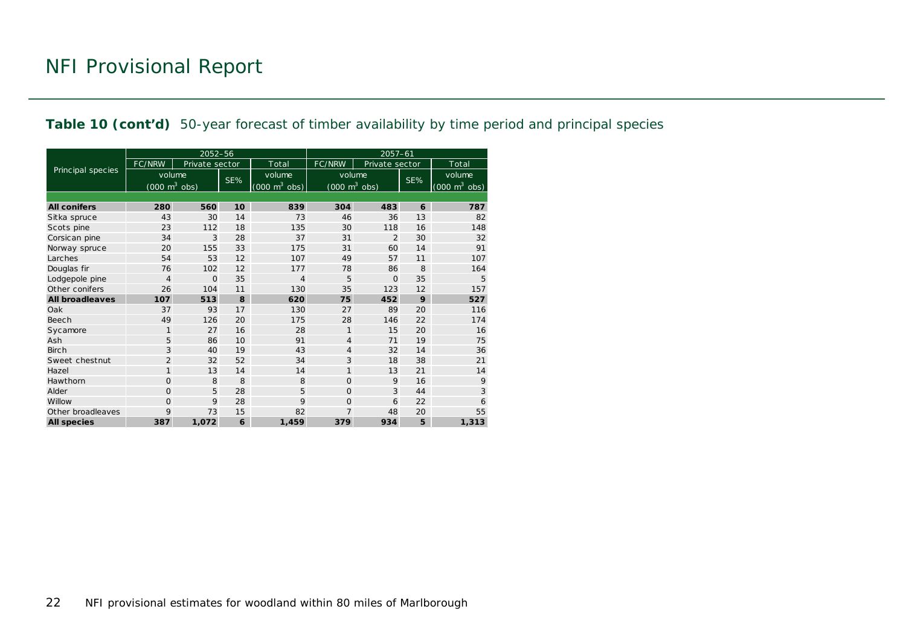#### **Table 10 (cont'd)** 50-year forecast of timber availability by time period and principal species

|                        |                                     | 2052-56        |     |                                     | $2057 - 61$                         |                |     |                                     |  |  |
|------------------------|-------------------------------------|----------------|-----|-------------------------------------|-------------------------------------|----------------|-----|-------------------------------------|--|--|
|                        | <b>FC/NRW</b>                       | Private sector |     | Total                               | FC/NRW                              | Private sector |     | Total                               |  |  |
| Principal species      | volume                              |                | SE% | volume                              | volume                              |                | SE% | volume                              |  |  |
|                        | $(000 \; \text{m}^3 \; \text{obs})$ |                |     | $(000 \; \text{m}^3 \; \text{obs})$ | $(000 \; \text{m}^3 \; \text{obs})$ |                |     | $(000 \; \text{m}^3 \; \text{obs})$ |  |  |
|                        |                                     |                |     |                                     |                                     |                |     |                                     |  |  |
| <b>All conifers</b>    | 280                                 | 560            | 10  | 839                                 | 304                                 | 483            | 6   | 787                                 |  |  |
| Sitka spruce           | 43                                  | 30             | 14  | 73                                  | 46                                  | 36             | 13  | 82                                  |  |  |
| Scots pine             | 23                                  | 112            | 18  | 135                                 | 30                                  | 118            | 16  | 148                                 |  |  |
| Corsican pine          | 34                                  | 3              | 28  | 37                                  | 31                                  | $\overline{2}$ | 30  | 32                                  |  |  |
| Norway spruce          | 20                                  | 155            | 33  | 175                                 | 31                                  | 60             | 14  | 91                                  |  |  |
| Larches                | 54                                  | 53             | 12  | 107                                 | 49                                  | 57             | 11  | 107                                 |  |  |
| Douglas fir            | 76                                  | 102            | 12  | 177                                 | 78                                  | 86             | 8   | 164                                 |  |  |
| Lodgepole pine         | $\overline{4}$                      | $\Omega$       | 35  | $\overline{4}$                      | 5                                   | $\Omega$       | 35  | 5                                   |  |  |
| Other conifers         | 26                                  | 104            | 11  | 130                                 | 35                                  | 123            | 12  | 157                                 |  |  |
| <b>All broadleaves</b> | 107                                 | 513            | 8   | 620                                 | 75                                  | 452            | 9   | 527                                 |  |  |
| Oak                    | 37                                  | 93             | 17  | 130                                 | 27                                  | 89             | 20  | 116                                 |  |  |
| Beech                  | 49                                  | 126            | 20  | 175                                 | 28                                  | 146            | 22  | 174                                 |  |  |
| Sycamore               | $\mathbf{1}$                        | 27             | 16  | 28                                  | 1                                   | 15             | 20  | 16                                  |  |  |
| Ash                    | 5                                   | 86             | 10  | 91                                  | 4                                   | 71             | 19  | 75                                  |  |  |
| <b>Birch</b>           | 3                                   | 40             | 19  | 43                                  | $\overline{4}$                      | 32             | 14  | 36                                  |  |  |
| Sweet chestnut         | $\overline{2}$                      | 32             | 52  | 34                                  | 3                                   | 18             | 38  | 21                                  |  |  |
| Hazel                  | $\mathbf{1}$                        | 13             | 14  | 14                                  | 1                                   | 13             | 21  | 14                                  |  |  |
| Hawthorn               | 0                                   | 8              | 8   | 8                                   | $\Omega$                            | 9              | 16  | 9                                   |  |  |
| Alder                  | $\overline{O}$                      | 5              | 28  | 5                                   | $\Omega$                            | 3              | 44  | 3                                   |  |  |
| Willow                 | 0                                   | 9              | 28  | 9                                   | $\overline{0}$                      | 6              | 22  | 6                                   |  |  |
| Other broadleaves      | 9                                   | 73             | 15  | 82                                  | 7                                   | 48             | 20  | 55                                  |  |  |
| <b>All species</b>     | 387                                 | 1,072          | 6   | 1.459                               | 379                                 | 934            | 5   | 1,313                               |  |  |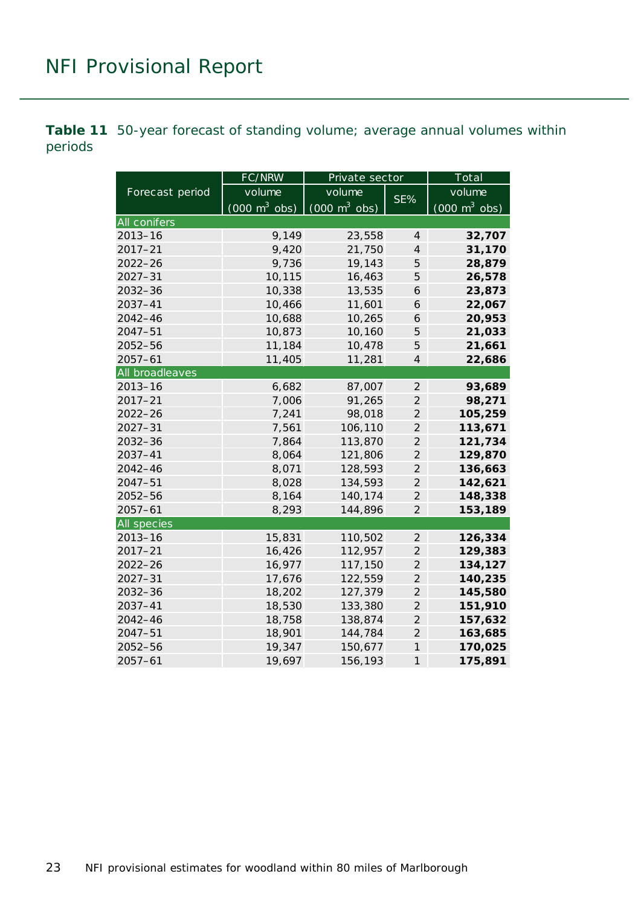<span id="page-22-0"></span>**Table 11** 50-year forecast of standing volume; average annual volumes within periods

|                    | FC/NRW                          | Private sector                  |                          | Total                           |  |  |
|--------------------|---------------------------------|---------------------------------|--------------------------|---------------------------------|--|--|
| Forecast period    | volume                          | volume                          | SE%                      | volume                          |  |  |
|                    | $(000 \text{ m}^3 \text{ obs})$ | $(000 \text{ m}^3 \text{ obs})$ |                          | $(000 \text{ m}^3 \text{ obs})$ |  |  |
| All conifers       |                                 |                                 |                          |                                 |  |  |
| $2013 - 16$        | 9,149                           | 23,558                          | 4                        | 32,707                          |  |  |
| $2017 - 21$        | 9,420                           | 21,750                          | $\overline{4}$           | 31,170                          |  |  |
| $2022 - 26$        | 9,736                           | 19,143                          | 5                        | 28,879                          |  |  |
| $2027 - 31$        | 10,115                          | 16,463                          | 5                        | 26,578                          |  |  |
| $2032 - 36$        | 10,338                          | 13,535                          | 6                        | 23,873                          |  |  |
| 2037-41            | 10,466                          | 11,601                          | 6                        | 22,067                          |  |  |
| $2042 - 46$        | 10,688                          | 10,265                          | 6                        | 20,953                          |  |  |
| $2047 - 51$        | 10,873                          | 10,160                          | 5                        | 21,033                          |  |  |
| 2052-56            | 11,184                          | 10,478                          | 5                        | 21,661                          |  |  |
| $2057 - 61$        | 11,405                          | 11,281                          | $\overline{\mathcal{A}}$ | 22,686                          |  |  |
| All broadleaves    |                                 |                                 |                          |                                 |  |  |
| $2013 - 16$        | 6,682                           | 87,007                          | $\overline{2}$           | 93,689                          |  |  |
| $2017 - 21$        | 7,006                           | 91,265                          | $\overline{2}$           | 98,271                          |  |  |
| $2022 - 26$        | 7,241                           | 98,018                          | $\overline{2}$           | 105,259                         |  |  |
| $2027 - 31$        | 7,561                           | 106,110                         | $\overline{2}$           | 113,671                         |  |  |
| $2032 - 36$        | 7,864                           | 113,870                         | $\overline{2}$           | 121,734                         |  |  |
| $2037 - 41$        | 8,064                           | 121,806                         | $\overline{2}$           | 129,870                         |  |  |
| $2042 - 46$        | 8,071                           | 128,593                         | $\overline{2}$           | 136,663                         |  |  |
| $2047 - 51$        | 8,028                           | 134,593                         | $\overline{2}$           | 142,621                         |  |  |
| 2052-56            | 8,164                           | 140,174                         | $\overline{2}$           | 148,338                         |  |  |
| $2057 - 61$        | 8,293                           | 144,896                         | $\overline{2}$           | 153,189                         |  |  |
| <b>All species</b> |                                 |                                 |                          |                                 |  |  |
| $2013 - 16$        | 15,831                          | 110,502                         | $\overline{2}$           | 126,334                         |  |  |
| $2017 - 21$        | 16,426                          | 112,957                         | $\overline{2}$           | 129,383                         |  |  |
| $2022 - 26$        | 16,977                          | 117,150                         | $\overline{2}$           | 134,127                         |  |  |
| $2027 - 31$        | 17,676                          | 122,559                         | $\overline{2}$           | 140,235                         |  |  |
| $2032 - 36$        | 18,202                          | 127,379                         | $\overline{2}$           | 145,580                         |  |  |
| 2037-41            | 18,530                          | 133,380                         | $\overline{2}$           | 151,910                         |  |  |
| $2042 - 46$        | 18,758                          | 138,874                         | $\overline{2}$           | 157,632                         |  |  |
| $2047 - 51$        | 18,901                          | 144,784                         | $\overline{2}$           | 163,685                         |  |  |
| $2052 - 56$        | 19,347                          | 150,677                         | $\mathcal{I}$            | 170,025                         |  |  |
| $2057 - 61$        | 19,697                          | 156,193                         | $\mathcal{I}$            | 175,891                         |  |  |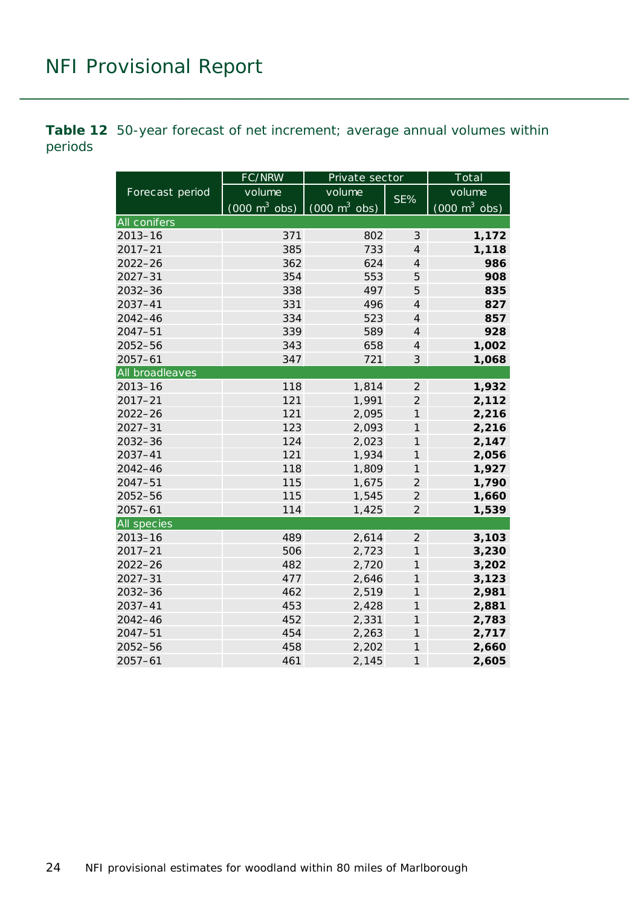<span id="page-23-0"></span>**Table 12** 50-year forecast of net increment; average annual volumes within periods

|                 | FC/NRW                          | Private sector                  |                | Total                           |  |  |
|-----------------|---------------------------------|---------------------------------|----------------|---------------------------------|--|--|
| Forecast period | volume                          | volume                          | SE%            | volume                          |  |  |
|                 | $(000 \text{ m}^3 \text{ obs})$ | $(000 \text{ m}^3 \text{ obs})$ |                | $(000 \text{ m}^3 \text{ obs})$ |  |  |
| All conifers    |                                 |                                 |                |                                 |  |  |
| $2013 - 16$     | 371                             | 802                             | $\mathcal{S}$  | 1,172                           |  |  |
| $2017 - 21$     | 385                             | 733                             | $\overline{4}$ | 1,118                           |  |  |
| $2022 - 26$     | 362                             | 624                             | $\overline{4}$ | 986                             |  |  |
| $2027 - 31$     | 354                             | 553                             | 5              | 908                             |  |  |
| $2032 - 36$     | 338                             | 497                             | 5              | 835                             |  |  |
| 2037-41         | 331                             | 496                             | $\overline{4}$ | 827                             |  |  |
| 2042-46         | 334                             | 523                             | $\overline{4}$ | 857                             |  |  |
| $2047 - 51$     | 339                             | 589                             | $\overline{4}$ | 928                             |  |  |
| 2052-56         | 343                             | 658                             | $\overline{4}$ | 1,002                           |  |  |
| $2057 - 61$     | 347                             | 721                             | 3              | 1,068                           |  |  |
| All broadleaves |                                 |                                 |                |                                 |  |  |
| $2013 - 16$     | 118                             | 1,814                           | $\overline{2}$ | 1,932                           |  |  |
| $2017 - 21$     | 121                             | 1,991                           | $\overline{2}$ | 2,112                           |  |  |
| $2022 - 26$     | 121                             | 2,095                           | $\overline{1}$ | 2,216                           |  |  |
| $2027 - 31$     | 123                             | 2,093                           | $\overline{1}$ | 2,216                           |  |  |
| 2032-36         | 124                             | 2,023                           | 1              | 2,147                           |  |  |
| $2037 - 41$     | 121                             | 1,934                           | $\mathcal{I}$  | 2,056                           |  |  |
| $2042 - 46$     | 118                             | 1,809                           | $\mathcal{I}$  | 1,927                           |  |  |
| $2047 - 51$     | 115                             | 1,675                           | $\overline{2}$ | 1,790                           |  |  |
| 2052-56         | 115                             | 1,545                           | $\overline{2}$ | 1,660                           |  |  |
| $2057 - 61$     | 114                             | 1,425                           | $\overline{2}$ | 1,539                           |  |  |
| All species     |                                 |                                 |                |                                 |  |  |
| $2013 - 16$     | 489                             | 2,614                           | $\overline{2}$ | 3,103                           |  |  |
| $2017 - 21$     | 506                             | 2,723                           | $\mathcal{I}$  | 3,230                           |  |  |
| $2022 - 26$     | 482                             | 2,720                           | $\mathcal{I}$  | 3,202                           |  |  |
| $2027 - 31$     | 477                             | 2,646                           | $\mathcal{I}$  | 3,123                           |  |  |
| $2032 - 36$     | 462                             | 2,519                           | $\mathcal{I}$  | 2,981                           |  |  |
| 2037-41         | 453                             | 2,428                           | $\mathcal{I}$  | 2,881                           |  |  |
| 2042-46         | 452                             | 2,331                           | $\mathcal{I}$  | 2,783                           |  |  |
| $2047 - 51$     | 454                             | 2,263                           | $\mathcal{I}$  | 2,717                           |  |  |
| 2052-56         | 458                             | 2,202                           | $\mathcal{I}$  | 2,660                           |  |  |
| $2057 - 61$     | 461                             | 2,145                           | $\mathcal{I}$  | 2,605                           |  |  |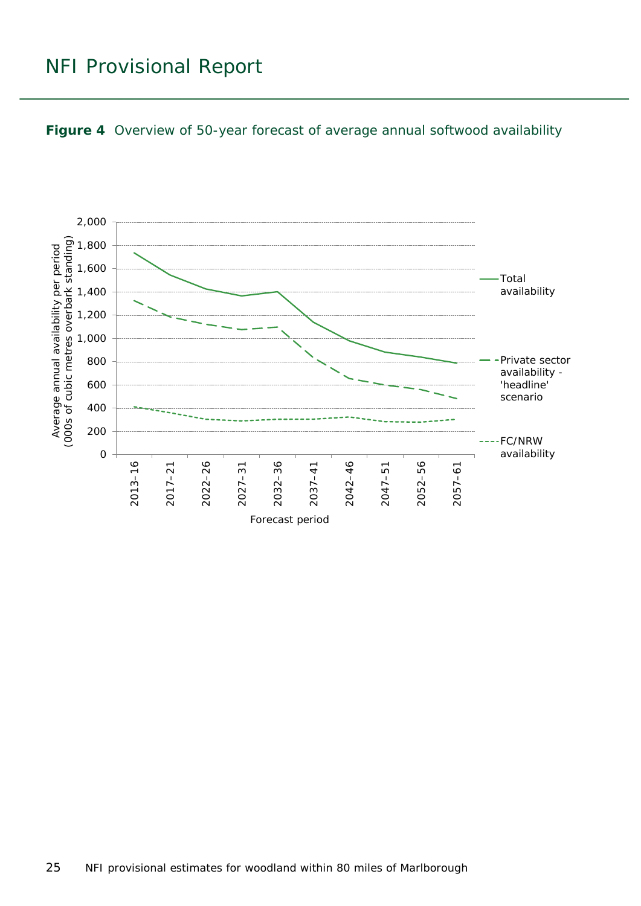<span id="page-24-0"></span>

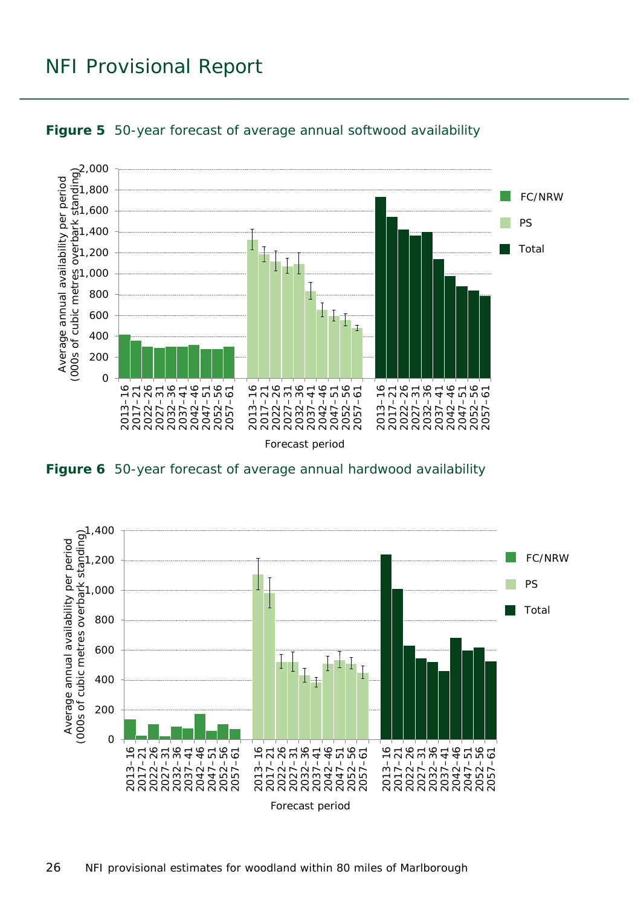

<span id="page-25-0"></span>

<span id="page-25-1"></span>**Figure 6** 50-year forecast of average annual hardwood availability

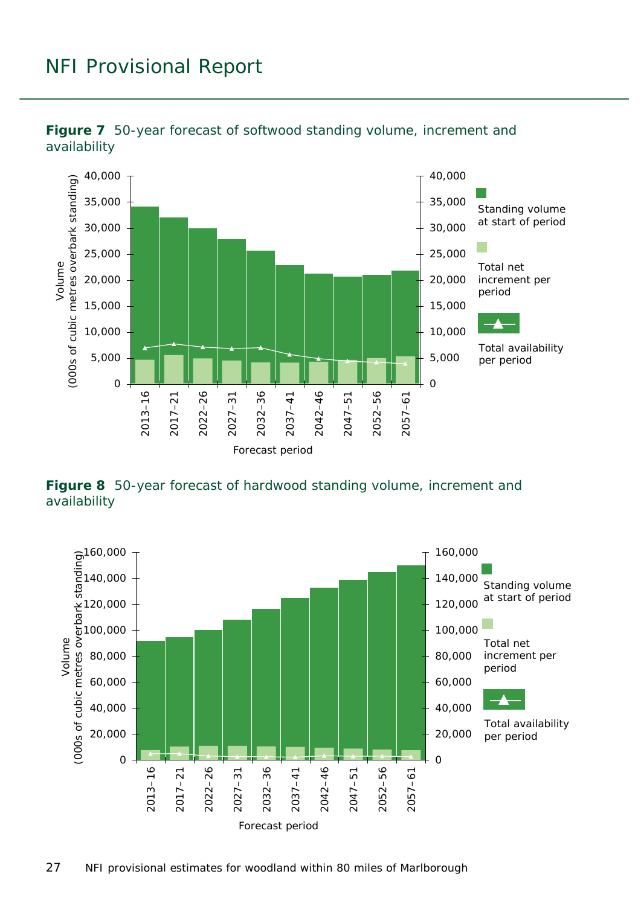

<span id="page-26-0"></span>

<span id="page-26-1"></span>**Figure 8** 50-year forecast of hardwood standing volume, increment and availability

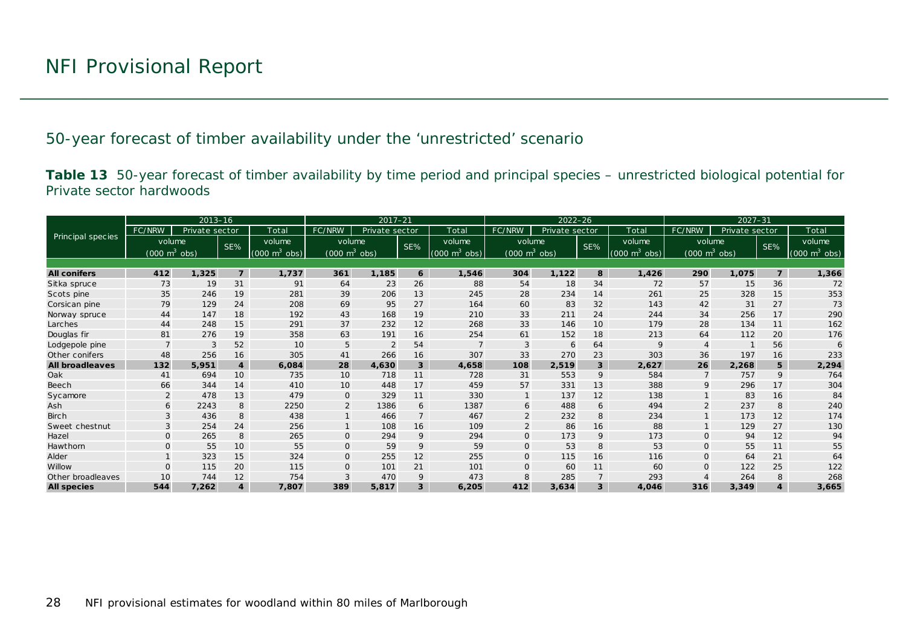50-year forecast of timber availability under the 'unrestricted' scenario

**Table 13** 50-year forecast of timber availability by time period and principal species – unrestricted biological potential for Private sector hardwoods

<span id="page-27-1"></span><span id="page-27-0"></span>

|                          |                                 | $2013 - 16$    |                         |                             | $2022 - 26$<br>$2017 - 21$      |                |                |                                 | $2027 - 31$                     |                |                         |                                 |                                 |                |                |                                 |
|--------------------------|---------------------------------|----------------|-------------------------|-----------------------------|---------------------------------|----------------|----------------|---------------------------------|---------------------------------|----------------|-------------------------|---------------------------------|---------------------------------|----------------|----------------|---------------------------------|
|                          | FC/NRW                          | Private sector |                         | Total                       | FC/NRW                          | Private sector |                | Total                           | FC/NRW                          | Private sector |                         | Total                           | FC/NRW                          | Private sector |                | Total                           |
| <b>Principal species</b> | volume                          |                | SE%                     | volume                      | volume                          |                | SE%            | volume                          | volume                          |                | SE%                     | volume                          | volume                          |                | SE%            | volume                          |
|                          | $(000 \text{ m}^3 \text{ obs})$ |                |                         | $(000 \text{ m}^3)$<br>obs) | $(000 \text{ m}^3 \text{ obs})$ |                |                | $(000 \text{ m}^3 \text{ obs})$ | $(000 \text{ m}^3 \text{ obs})$ |                |                         | $(000 \text{ m}^3 \text{ obs})$ | $(000 \text{ m}^3 \text{ obs})$ |                |                | $(000 \text{ m}^3 \text{ obs})$ |
|                          |                                 |                |                         |                             |                                 |                |                |                                 |                                 |                |                         |                                 |                                 |                |                |                                 |
| <b>All conifers</b>      | 412                             | 1,325          | $\overline{z}$          | 1,737                       | 361                             | 1,185          | 6              | 1,546                           | 304                             | 1,122          | 8                       | 1,426                           | 290                             | 1,075          | $\overline{7}$ | 1,366                           |
| Sitka spruce             | 73                              | 19             | 31                      | 91                          | 64                              | 23             | 26             | 88                              | 54                              | 18             | 34                      | 72                              | 57                              | 15             | 36             | 72                              |
| Scots pine               | 35                              | 246            | 19                      | 281                         | 39                              | 206            | 13             | 245                             | 28                              | 234            | 14                      | 261                             | 25                              | 328            | 15             | 353                             |
| Corsican pine            | 79                              | 129            | 24                      | 208                         | 69                              | 95             | 27             | 164                             | 60                              | 83             | 32                      | 143                             | 42                              | 31             | 27             | 73                              |
| Norway spruce            | 44                              | 147            | 18                      | 192                         | 43                              | 168            | 19             | 210                             | 33                              | 211            | 24                      | 244                             | 34                              | 256            | 17             | 290                             |
| Larches                  | 44                              | 248            | 15                      | 291                         | 37                              | 232            | 12             | 268                             | 33                              | 146            | 10                      | 179                             | 28                              | 134            | 11             | 162                             |
| Douglas fir              | 81                              | 276            | 19                      | 358                         | 63                              | 191            | 16             | 254                             | 61                              | 152            | 18                      | 213                             | 64                              | 112            | 20             | 176                             |
| Lodgepole pine           |                                 | 3              | 52                      | 10                          | 5                               | $\overline{2}$ | 54             |                                 | 3                               | 6              | 64                      | 9                               |                                 |                | 56             | 6                               |
| Other conifers           | 48                              | 256            | 16                      | 305                         | 41                              | 266            | 16             | 307                             | 33                              | 270            | 23                      | 303                             | 36                              | 197            | 16             | 233                             |
| <b>All broadleaves</b>   | 132                             | 5.951          | $\overline{4}$          | 6,084                       | 28                              | 4,630          | 3              | 4,658                           | 108                             | 2,519          | 3                       | 2.627                           | 26                              | 2,268          | 5              | 2,294                           |
| Oak                      | 41                              | 694            | 10                      | 735                         | 10                              | 718            | 11             | 728                             | 31                              | 553            | 9                       | 584                             |                                 | 757            | 9              | 764                             |
| Beech                    | 66                              | 344            | 14                      | 410                         | 10                              | 448            | 17             | 459                             | 57                              | 331            | 13                      | 388                             |                                 | 296            | 17             | 304                             |
| Sycamore                 | $\overline{2}$                  | 478            | 13                      | 479                         | $\mathbf{O}$                    | 329            | 11             | 330                             |                                 | 137            | 12                      | 138                             |                                 | 83             | 16             | 84                              |
| Ash                      | 6                               | 2243           | 8                       | 2250                        | $\overline{2}$                  | 1386           | 6              | 1387                            | 6                               | 488            | 6                       | 494                             |                                 | 237            | 8              | 240                             |
| <b>Birch</b>             |                                 | 436            | 8                       | 438                         |                                 | 466            | $\overline{7}$ | 467                             | 2                               | 232            | 8                       | 234                             |                                 | 173            | 12             | 174                             |
| Sweet chestnut           |                                 | 254            | 24                      | 256                         |                                 | 108            | 16             | 109                             | 2                               | 86             | 16                      | 88                              |                                 | 129            | 27             | 130                             |
| Hazel                    | $\mathsf{O}$                    | 265            | 8                       | 265                         | $\mathbf{O}$                    | 294            | 9              | 294                             | $\mathbf{O}$                    | 173            | 9                       | 173                             | $\Omega$                        | 94             | 12             | 94                              |
| Hawthorn                 | $\Omega$                        | 55             | 10                      | 55                          | $\mathbf{O}$                    | 59             | 9              | 59                              | $\mathbf 0$                     | 53             | 8                       | 53                              | $\mathbf{0}$                    | 55             | 11             | 55                              |
| Alder                    |                                 | 323            | 15                      | 324                         | $\mathbf{O}$                    | 255            | 12             | 255                             | $\Omega$                        | 115            | 16                      | 116                             | $\Omega$                        | 64             | 21             | 64                              |
| Willow                   | $\Omega$                        | 115            | 20                      | 115                         | $\Omega$                        | 101            | 21             | 101                             | $\Omega$                        | 60             | 11                      | 60                              |                                 | 122            | 25             | 122                             |
| Other broadleaves        | 10                              | 744            | 12                      | 754                         | 3                               | 470            | 9              | 473                             | 8                               | 285            | $\overline{7}$          | 293                             |                                 | 264            | 8              | 268                             |
| <b>All species</b>       | 544                             | 7,262          | $\overline{\mathbf{4}}$ | 7,807                       | 389                             | 5,817          | 3              | 6,205                           | 412                             | 3,634          | $\overline{\mathbf{3}}$ | 4,046                           | 316                             | 3,349          |                | 3,665                           |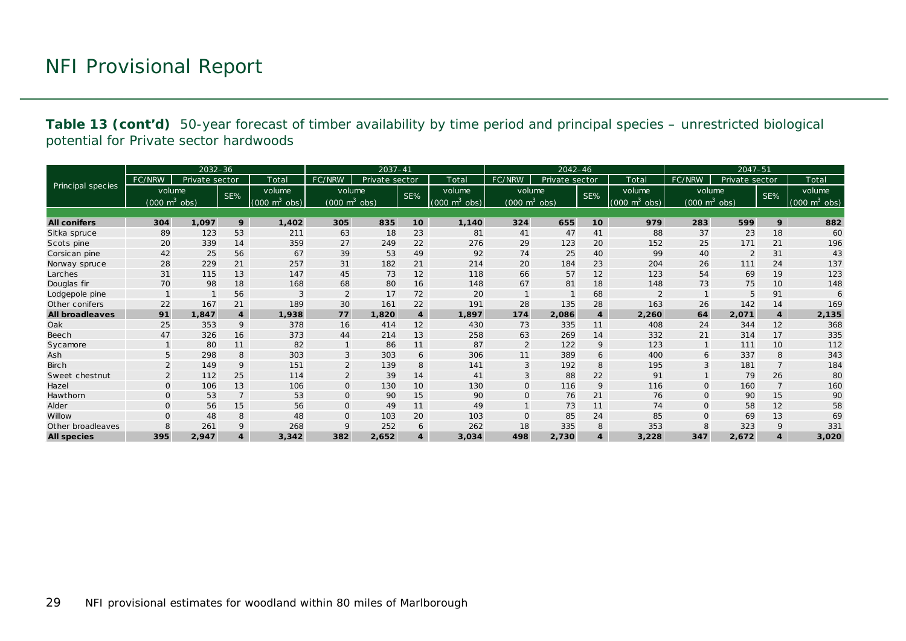**Table 13 (cont'd)** 50-year forecast of timber availability by time period and principal species – unrestricted biological potential for Private sector hardwoods

|                        |                                 | $2032 - 36$    |                  |                             |                                 | $2037 - 41$    |                 |                                 |                                 | $2042 - 46$    |                  |                                 |                                     | 2047-51        |                |                                 |
|------------------------|---------------------------------|----------------|------------------|-----------------------------|---------------------------------|----------------|-----------------|---------------------------------|---------------------------------|----------------|------------------|---------------------------------|-------------------------------------|----------------|----------------|---------------------------------|
|                        | FC/NRW                          | Private sector |                  | Total                       | FC/NRW                          | Private sector |                 | Total                           | FC/NRW                          | Private sector |                  | Total                           | FC/NRW                              | Private sector |                | Total                           |
| Principal species      | volume                          |                | SE%              | volume                      | volume                          |                | SE%             | volume                          | volume                          |                | SE%              | volume                          | volume                              |                | SE%            | volume                          |
|                        | $(000 \text{ m}^3 \text{ obs})$ |                |                  | $(000 \text{ m}^3)$<br>obs) | $(000 \text{ m}^3 \text{ obs})$ |                |                 | $(000 \text{ m}^3 \text{ obs})$ | $(000 \text{ m}^3 \text{ obs})$ |                |                  | $(000 \text{ m}^3 \text{ obs})$ | $(000 \; \text{m}^3 \; \text{obs})$ |                |                | $(000 \text{ m}^3 \text{ obs})$ |
|                        |                                 |                |                  |                             |                                 |                |                 |                                 |                                 |                |                  |                                 |                                     |                |                |                                 |
| <b>All conifers</b>    | 304                             | 1,097          | 9                | 1,402                       | 305                             | 835            | 10 <sup>1</sup> | 1,140                           | 324                             | 655            | 10               | 979                             | 283                                 | 599            | 9              | 882                             |
| Sitka spruce           | 89                              | 123            | 53               | 211                         | 63                              | 18             | 23              | 81                              | 41                              | 47             | 41               | 88                              | 37                                  | 23             | 18             | 60                              |
| Scots pine             | 20                              | 339            | 14               | 359                         | 27                              | 249            | 22              | 276                             | 29                              | 123            | 20               | 152                             | 25                                  | 171            | 21             | 196                             |
| Corsican pine          | 42                              | 25             | 56               | 67                          | 39                              | 53             | 49              | 92                              | 74                              | 25             | 40               | 99                              | 40                                  | $\overline{2}$ | 31             | 43                              |
| Norway spruce          | 28                              | 229            | 21               | 257                         | 31                              | 182            | 21              | 214                             | 20                              | 184            | 23               | 204                             | 26                                  | 111            | 24             | 137                             |
| Larches                | 31                              | 115            | 13               | 147                         | 45                              | 73             | 12              | 118                             | 66                              | 57             | 12               | 123                             | 54                                  | 69             | 19             | 123                             |
| Douglas fir            | 70                              | 98             | 18               | 168                         | 68                              | 80             | 16              | 148                             | 67                              | 81             | 18               | 148                             | 73                                  | 75             | 10             | 148                             |
| Lodgepole pine         |                                 |                | 56               | 3                           | $\overline{2}$                  | 17             | 72              | 20                              |                                 |                | 68               |                                 |                                     | 5              | 91             | 6                               |
| Other conifers         | 22                              | 167            | 21               | 189                         | 30                              | 161            | 22              | 191                             | 28                              | 135            | 28               | 163                             | 26                                  | 142            | 14             | 169                             |
| <b>All broadleaves</b> | 91                              | 1,847          | $\boldsymbol{4}$ | 1,938                       | 77                              | 1,820          | $\overline{4}$  | 1,897                           | 174                             | 2,086          | $\boldsymbol{4}$ | 2,260                           | 64                                  | 2,071          | $\overline{4}$ | 2,135                           |
| Oak                    | 25                              | 353            | 9                | 378                         | 16                              | 414            | 12              | 430                             | 73                              | 335            | 11               | 408                             | 24                                  | 344            | 12             | 368                             |
| <b>Beech</b>           | 47                              | 326            | 16               | 373                         | 44                              | 214            | 13              | 258                             | 63                              | 269            | 14               | 332                             | 21                                  | 314            | 17             | 335                             |
| Sycamore               |                                 | 80             | 11               | 82                          | $\mathbf{1}$                    | 86             | 11              | 87                              | 2                               | 122            | 9                | 123                             |                                     | 111            | 10             | 112                             |
| Ash                    | 5                               | 298            | 8                | 303                         | 3                               | 303            | 6               | 306                             | 11                              | 389            | 6                | 400                             | 6                                   | 337            | 8              | 343                             |
| <b>Birch</b>           | 2                               | 149            | 9                | 151                         | $\overline{2}$                  | 139            | 8               | 141                             | 3                               | 192            | 8                | 195                             | 3                                   | 181            |                | 184                             |
| Sweet chestnut         | 2                               | 112            | 25               | 114                         | $\overline{2}$                  | 39             | 14              | 41                              | 3                               | 88             | 22               | 91                              |                                     | 79             | 26             | 80                              |
| Hazel                  | $\mathbf{O}$                    | 106            | 13               | 106                         | $\mathsf{O}$                    | 130            | 10              | 130                             | $\mathsf{O}$                    | 116            | 9                | 116                             | $\mathbf{O}$                        | 160            | $\overline{7}$ | 160                             |
| Hawthorn               | $\mathbf{O}$                    | 53             | $\overline{7}$   | 53                          | $\mathbf 0$                     | 90             | 15              | 90                              | $\mathbf{O}$                    | 76             | 21               | 76                              | $\Omega$                            | 90             | 15             | 90                              |
| Alder                  | $\Omega$                        | 56             | 15               | 56                          | $\mathbf 0$                     | 49             | 11              | 49                              |                                 | 73             | 11               | 74                              | $\Omega$                            | 58             | 12             | 58                              |
| Willow                 | $\Omega$                        | 48             | 8                | 48                          | $\mathbf 0$                     | 103            | 20              | 103                             | $\mathbf{O}$                    | 85             | 24               | 85                              | $\mathbf{O}$                        | 69             | 13             | 69                              |
| Other broadleaves      | 8                               | 261            | 9                | 268                         | 9                               | 252            | 6               | 262                             | 18                              | 335            | 8                | 353                             | 8                                   | 323            | 9              | 331                             |
| <b>All species</b>     | 395                             | 2,947          | $\overline{4}$   | 3,342                       | 382                             | 2,652          | $\overline{4}$  | 3,034                           | 498                             | 2,730          | $\overline{4}$   | 3,228                           | 347                                 | 2,672          |                | 3,020                           |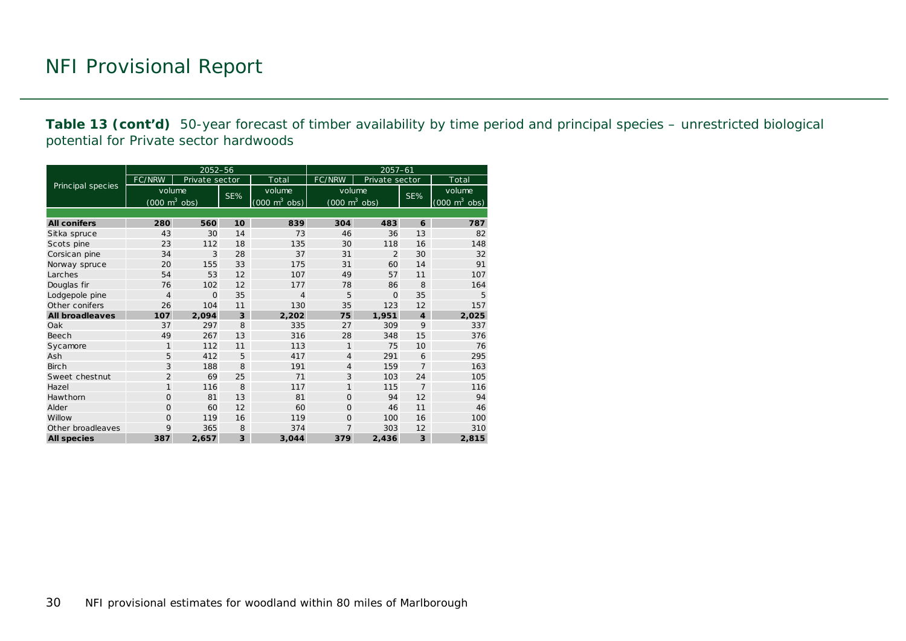**Table 13 (cont'd)** 50-year forecast of timber availability by time period and principal species – unrestricted biological potential for Private sector hardwoods

|                        |                                     | 2052-56        |     |                                     | 2057-61                             |                |                  |                                 |  |  |  |
|------------------------|-------------------------------------|----------------|-----|-------------------------------------|-------------------------------------|----------------|------------------|---------------------------------|--|--|--|
|                        | FC/NRW                              | Private sector |     | Total                               | FC/NRW                              | Private sector |                  | Total                           |  |  |  |
| Principal species      | volume                              |                | SE% | volume                              | volume                              |                | SE%              | volume                          |  |  |  |
|                        | $(000 \; \text{m}^3 \; \text{obs})$ |                |     | $(000 \; \text{m}^3 \; \text{obs})$ | $(000 \; \text{m}^3 \; \text{obs})$ |                |                  | $(000 \text{ m}^3 \text{ obs})$ |  |  |  |
|                        |                                     |                |     |                                     |                                     |                |                  |                                 |  |  |  |
| <b>All conifers</b>    | 280                                 | 560            | 10  | 839                                 | 304                                 | 483            | 6                | 787                             |  |  |  |
| Sitka spruce           | 43                                  | 30             | 14  | 73                                  | 46                                  | 36             | 13               | 82                              |  |  |  |
| Scots pine             | 23                                  | 112            | 18  | 135                                 | 30                                  | 118            | 16               | 148                             |  |  |  |
| Corsican pine          | 34                                  | 3              | 28  | 37                                  | 31                                  | $\overline{2}$ | 30               | 32                              |  |  |  |
| Norway spruce          | 20                                  | 155            | 33  | 175                                 | 31                                  | 60             | 14               | 91                              |  |  |  |
| Larches                | 54                                  | 53             | 12  | 107                                 | 49                                  | 57             | 11               | 107                             |  |  |  |
| Douglas fir            | 76                                  | 102            | 12  | 177                                 | 78                                  | 86             | 8                | 164                             |  |  |  |
| Lodgepole pine         | $\overline{4}$                      | $\Omega$       | 35  | $\overline{4}$                      | 5                                   | $\Omega$       | 35               | 5                               |  |  |  |
| Other conifers         | 26                                  | 104            | 11  | 130                                 | 35                                  | 123            | 12               | 157                             |  |  |  |
| <b>All broadleaves</b> | 107                                 | 2,094          | 3   | 2,202                               | 75                                  | 1,951          | $\boldsymbol{4}$ | 2,025                           |  |  |  |
| Oak                    | 37                                  | 297            | 8   | 335                                 | 27                                  | 309            | 9                | 337                             |  |  |  |
| Beech                  | 49                                  | 267            | 13  | 316                                 | 28                                  | 348            | 15               | 376                             |  |  |  |
| Sycamore               | $\mathbf{1}$                        | 112            | 11  | 113                                 | 1                                   | 75             | 10               | 76                              |  |  |  |
| Ash                    | 5                                   | 412            | 5   | 417                                 | $\overline{4}$                      | 291            | 6                | 295                             |  |  |  |
| <b>Birch</b>           | 3                                   | 188            | 8   | 191                                 | $\overline{4}$                      | 159            | $\overline{7}$   | 163                             |  |  |  |
| Sweet chestnut         | $\overline{2}$                      | 69             | 25  | 71                                  | 3                                   | 103            | 24               | 105                             |  |  |  |
| Hazel                  | $\mathbf{1}$                        | 116            | 8   | 117                                 | $\mathbf{1}$                        | 115            | $\overline{7}$   | 116                             |  |  |  |
| Hawthorn               | $\Omega$                            | 81             | 13  | 81                                  | $\Omega$                            | 94             | 12               | 94                              |  |  |  |
| Alder                  | $\Omega$                            | 60             | 12  | 60                                  | $\Omega$                            | 46             | 11               | 46                              |  |  |  |
| Willow                 | $\Omega$                            | 119            | 16  | 119                                 | $\Omega$                            | 100            | 16               | 100                             |  |  |  |
| Other broadleaves      | 9                                   | 365            | 8   | 374                                 | 7                                   | 303            | 12               | 310                             |  |  |  |
| <b>All species</b>     | 387                                 | 2,657          | 3   | 3,044                               | 379                                 | 2,436          | 3                | 2,815                           |  |  |  |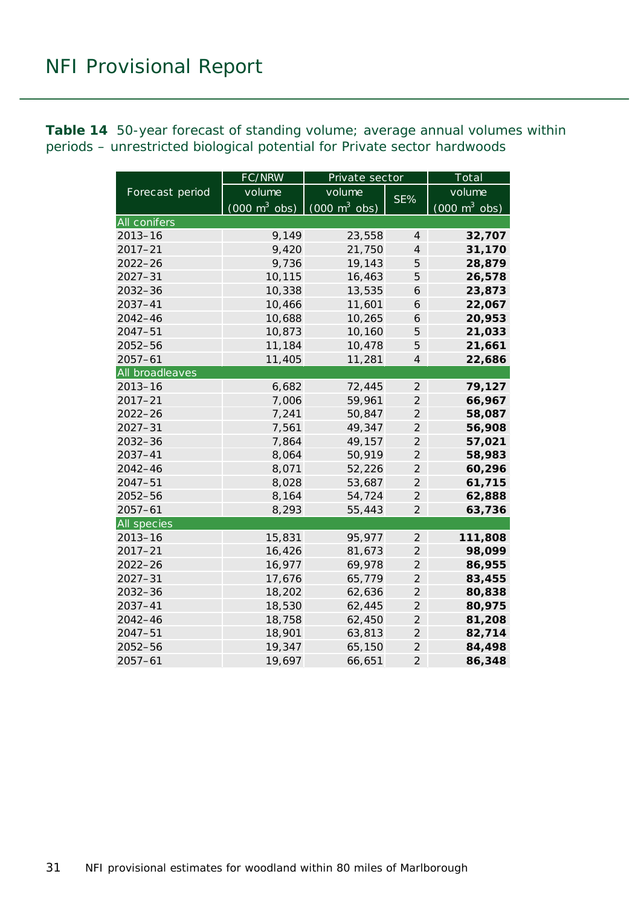<span id="page-30-0"></span>**Table 14** 50-year forecast of standing volume; average annual volumes within periods – unrestricted biological potential for Private sector hardwoods

|                    | FC/NRW                          | Private sector                  |                | Total                           |  |  |
|--------------------|---------------------------------|---------------------------------|----------------|---------------------------------|--|--|
| Forecast period    | volume                          | volume                          | SE%            | volume                          |  |  |
|                    | $(000 \text{ m}^3 \text{ obs})$ | $(000 \text{ m}^3 \text{ obs})$ |                | $(000 \text{ m}^3 \text{ obs})$ |  |  |
| All conifers       |                                 |                                 |                |                                 |  |  |
| $2013 - 16$        | 9,149                           | 23,558                          | $\overline{4}$ | 32,707                          |  |  |
| $2017 - 21$        | 9,420                           | 21,750                          | $\overline{4}$ | 31,170                          |  |  |
| $2022 - 26$        | 9,736                           | 19,143                          | 5              | 28,879                          |  |  |
| $2027 - 31$        | 10,115                          | 16,463                          | 5              | 26,578                          |  |  |
| $2032 - 36$        | 10,338                          | 13,535                          | 6              | 23,873                          |  |  |
| 2037-41            | 10,466                          | 11,601                          | 6              | 22,067                          |  |  |
| $2042 - 46$        | 10,688                          | 10,265                          | 6              | 20,953                          |  |  |
| 2047-51            | 10,873                          | 10,160                          | 5              | 21,033                          |  |  |
| 2052-56            | 11,184                          | 10,478                          | 5              | 21,661                          |  |  |
| $2057 - 61$        | 11,405                          | 11,281                          | $\overline{4}$ | 22,686                          |  |  |
| All broadleaves    |                                 |                                 |                |                                 |  |  |
| $2013 - 16$        | 6,682                           | 72,445                          | $\overline{2}$ | 79,127                          |  |  |
| $2017 - 21$        | 7,006                           | 59,961                          | $\overline{2}$ | 66,967                          |  |  |
| $2022 - 26$        | 7,241                           | 50,847                          | $\overline{2}$ | 58,087                          |  |  |
| $2027 - 31$        | 7,561                           | 49,347                          | $\overline{2}$ | 56,908                          |  |  |
| 2032-36            | 7,864                           | 49,157                          | $\overline{2}$ | 57,021                          |  |  |
| 2037-41            | 8,064                           | 50,919                          | $\overline{2}$ | 58,983                          |  |  |
| 2042-46            | 8,071                           | 52,226                          | $\overline{2}$ | 60,296                          |  |  |
| 2047-51            | 8,028                           | 53,687                          | $\overline{2}$ | 61,715                          |  |  |
| 2052-56            | 8,164                           | 54,724                          | $\overline{2}$ | 62,888                          |  |  |
| $2057 - 61$        | 8,293                           | 55,443                          | $\overline{2}$ | 63,736                          |  |  |
| <b>All species</b> |                                 |                                 |                |                                 |  |  |
| $2013 - 16$        | 15,831                          | 95,977                          | $\mathfrak{2}$ | 111,808                         |  |  |
| $2017 - 21$        | 16,426                          | 81,673                          | $\overline{2}$ | 98,099                          |  |  |
| $2022 - 26$        | 16,977                          | 69,978                          | $\overline{2}$ | 86,955                          |  |  |
| $2027 - 31$        | 17,676                          | 65,779                          | $\mathfrak{2}$ | 83,455                          |  |  |
| $2032 - 36$        | 18,202                          | 62,636                          | $\overline{2}$ | 80,838                          |  |  |
| 2037-41            | 18,530                          | 62,445                          | $\overline{c}$ | 80,975                          |  |  |
| $2042 - 46$        | 18,758                          | 62,450                          | $\overline{2}$ | 81,208                          |  |  |
| $2047 - 51$        | 18,901                          | 63,813                          | $\overline{2}$ | 82,714                          |  |  |
| 2052-56            | 19,347                          | 65,150                          | $\overline{2}$ | 84,498                          |  |  |
| $2057 - 61$        | 19,697                          | 66,651                          | $\overline{2}$ | 86,348                          |  |  |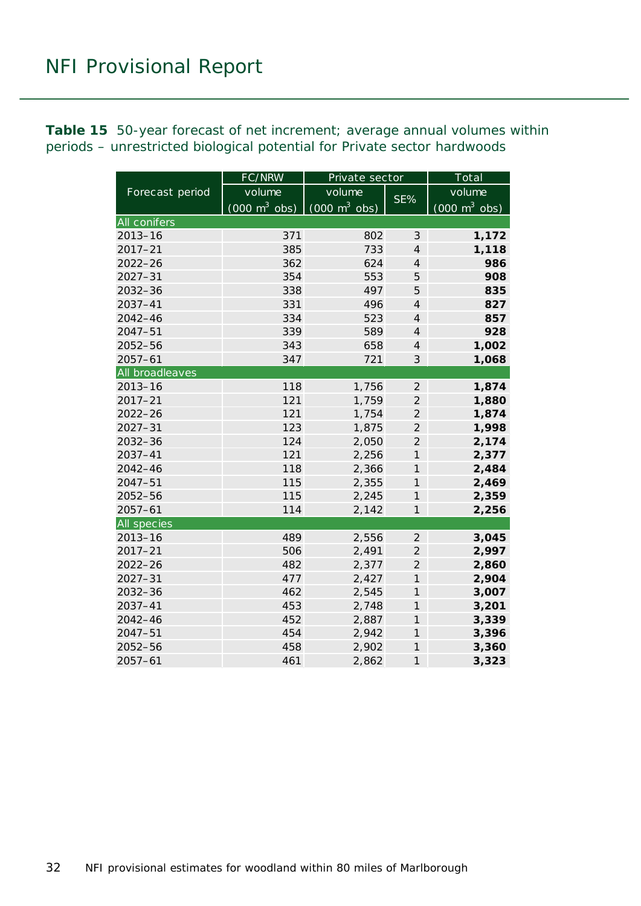<span id="page-31-0"></span>**Table 15** 50-year forecast of net increment; average annual volumes within periods – unrestricted biological potential for Private sector hardwoods

|                     | FC/NRW                          | Private sector                  | Total               |                                 |  |
|---------------------|---------------------------------|---------------------------------|---------------------|---------------------------------|--|
| Forecast period     | volume                          | volume                          |                     | volume                          |  |
|                     | $(000 \text{ m}^3 \text{ obs})$ | $(000 \text{ m}^3 \text{ obs})$ | SE%                 | $(000 \text{ m}^3 \text{ obs})$ |  |
| <b>All conifers</b> |                                 |                                 |                     |                                 |  |
| $2013 - 16$         | 371                             | 802                             | 3                   | 1,172                           |  |
| $2017 - 21$         | 385                             | 733                             | $\overline{4}$      | 1,118                           |  |
| $2022 - 26$         | 362                             | 624                             | $\overline{4}$      | 986                             |  |
| $2027 - 31$         | 354                             | 553                             | 5                   | 908                             |  |
| $2032 - 36$         | 338                             | 497                             | 5                   | 835                             |  |
| 2037-41             | 331                             | 496                             | $\overline{4}$      | 827                             |  |
| 2042-46             | 334                             | 523                             | $\overline{4}$      | 857                             |  |
| $2047 - 51$         | 339                             | 589                             | $\overline{4}$      | 928                             |  |
| $2052 - 56$         | 343                             | 658                             | $\overline{4}$      | 1,002                           |  |
| $2057 - 61$         | 347                             | 721                             | 3                   | 1,068                           |  |
| All broadleaves     |                                 |                                 |                     |                                 |  |
| $2013 - 16$         | 118                             | 1,756                           | $\overline{2}$      | 1,874                           |  |
| $2017 - 21$         | 121                             | 1,759                           | $\overline{2}$      | 1,880                           |  |
| $2022 - 26$         | 121                             | 1,754                           | $\overline{2}$      | 1,874                           |  |
| $2027 - 31$         | 123                             | 1,875                           | $\overline{2}$      | 1,998                           |  |
| $2032 - 36$         | 124                             | 2,050                           | $\overline{2}$      | 2,174                           |  |
| $2037 - 41$         | 121                             | 2,256                           | $\overline{1}$      | 2,377                           |  |
| $2042 - 46$         | 118                             | 2,366                           | $\mathcal{I}$       | 2,484                           |  |
| $2047 - 51$         | 115                             | 2,355                           | $\mathcal{I}$       | 2,469                           |  |
| 2052-56             | 115                             | 2,245                           | $\mathcal{I}$       | 2,359                           |  |
| $2057 - 61$         | 114                             | 2,142                           | $\mathcal{I}$       | 2,256                           |  |
| <b>All species</b>  |                                 |                                 |                     |                                 |  |
| $2013 - 16$         | 489                             | 2,556                           | $\overline{2}$      | 3,045                           |  |
| $2017 - 21$         | 506                             | 2,491                           | $\overline{2}$      | 2,997                           |  |
| $2022 - 26$         | 482                             | 2,377                           | $\overline{2}$      | 2,860                           |  |
| $2027 - 31$         | 477                             | 2,427                           | $\mathcal{I}$       | 2,904                           |  |
| 2032-36             | 462                             | 2,545                           | $\mathcal{I}$       | 3,007                           |  |
| 2037-41             | 453                             | 2,748                           | $\boldsymbol{\eta}$ | 3,201                           |  |
| $2042 - 46$         | 452                             | 2,887                           | $\mathcal{I}$       | 3,339                           |  |
| 2047-51             | 454                             | 2,942                           | $\overline{1}$      | 3,396                           |  |
| 2052-56             | 458                             | 2,902                           | $\overline{1}$      | 3,360                           |  |
| $2057 - 61$         | 461                             | 2,862                           | $\mathcal{I}$       | 3,323                           |  |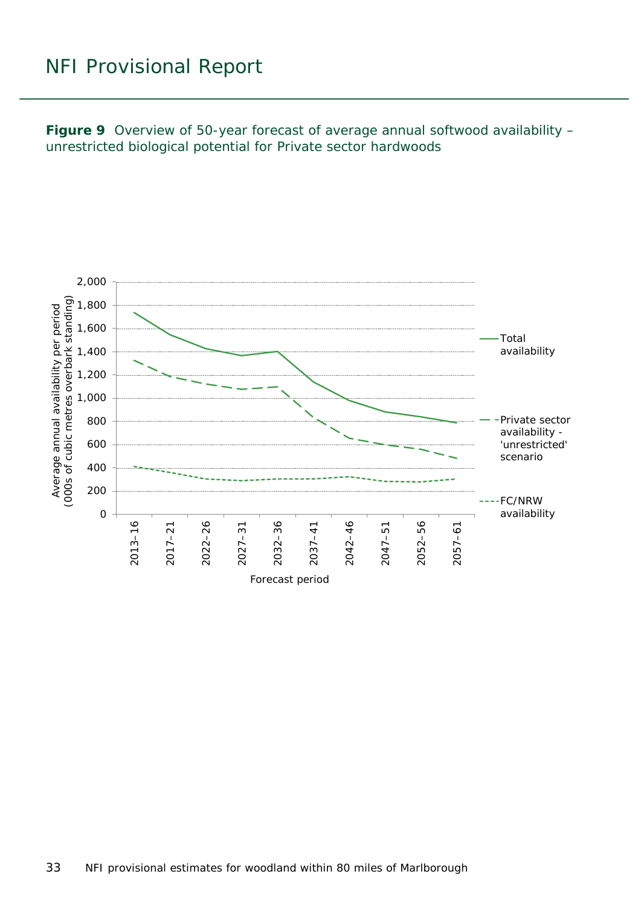<span id="page-32-0"></span>**Figure 9** Overview of 50-year forecast of average annual softwood availability – unrestricted biological potential for Private sector hardwoods

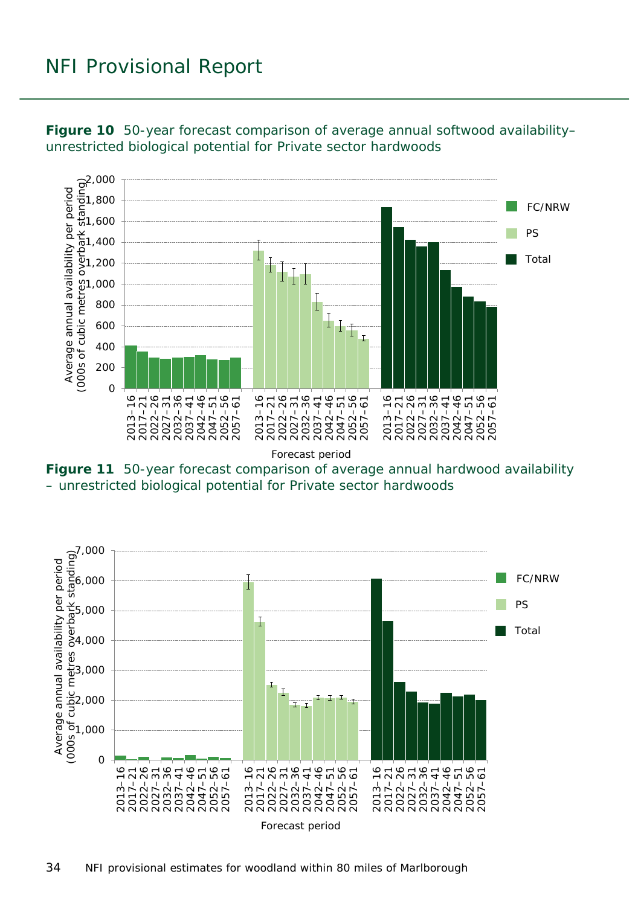

<span id="page-33-0"></span>**Figure 10** 50-year forecast comparison of average annual softwood availability– unrestricted biological potential for Private sector hardwoods

<span id="page-33-1"></span>**Figure 11** 50-year forecast comparison of average annual hardwood availability – unrestricted biological potential for Private sector hardwoods

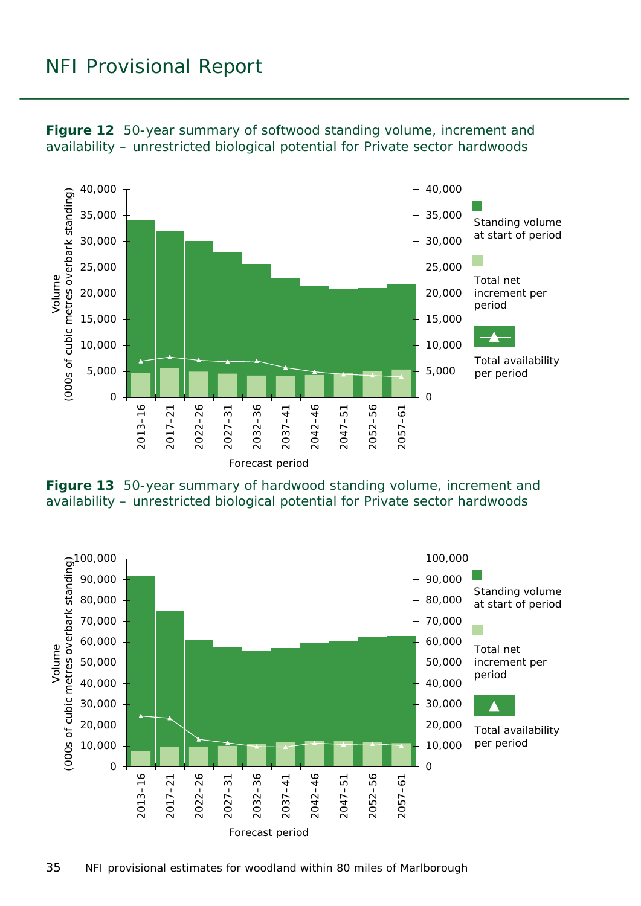

<span id="page-34-0"></span>**Figure 12** 50-year summary of softwood standing volume, increment and availability – unrestricted biological potential for Private sector hardwoods

<span id="page-34-1"></span>

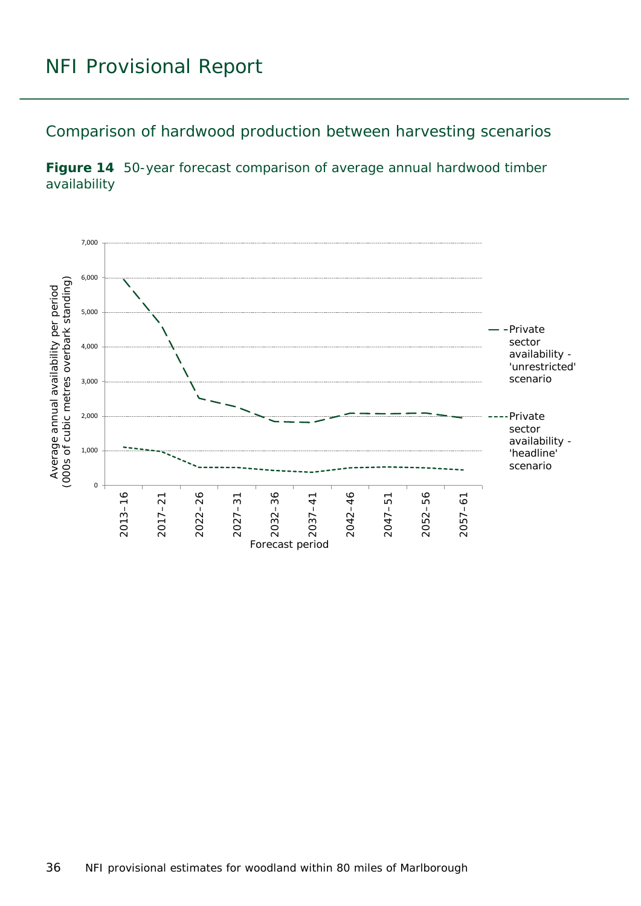<span id="page-35-0"></span>Comparison of hardwood production between harvesting scenarios

<span id="page-35-1"></span>

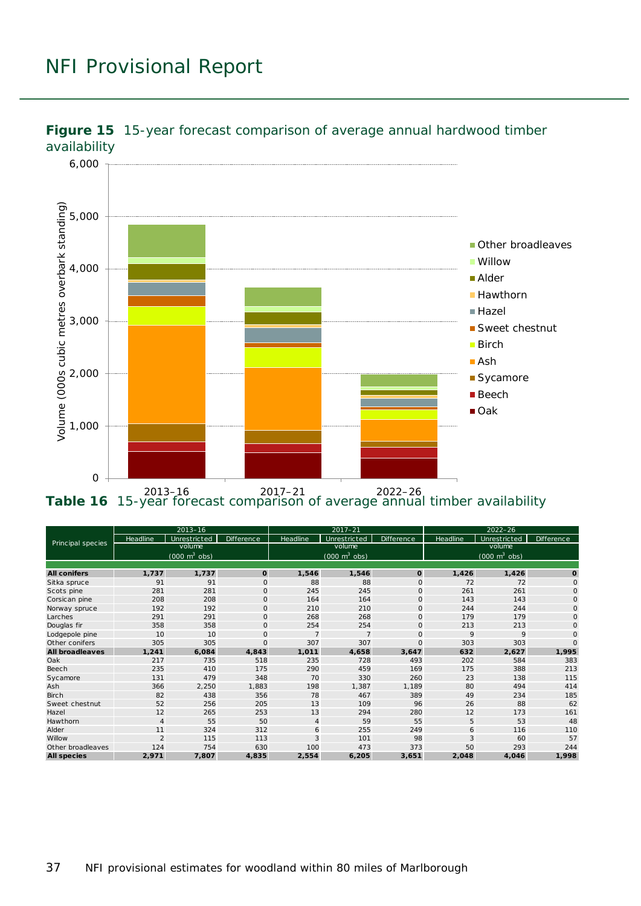

<span id="page-36-0"></span>

<span id="page-36-1"></span>2013–16 2017–21 2022–26 **Table 16** 15-year forecast comparison of average annual timber availability

|                        | $2013 - 16$                         |              |              | $2017 - 21$                         |                |              | $2022 - 26$                         |              |              |
|------------------------|-------------------------------------|--------------|--------------|-------------------------------------|----------------|--------------|-------------------------------------|--------------|--------------|
| Principal species      | Headline                            | Unrestricted | Difference   | Headline                            | Unrestricted   | Difference   | Headline                            | Unrestricted | Difference,  |
|                        |                                     | volume       |              |                                     | volume         |              |                                     | volume       |              |
|                        | $(000 \; \text{m}^3 \; \text{obs})$ |              |              | $(000 \; \text{m}^3 \; \text{obs})$ |                |              | $(000 \; \text{m}^3 \; \text{obs})$ |              |              |
|                        |                                     |              |              |                                     |                |              |                                     |              |              |
| <b>All conifers</b>    | 1,737                               | 1,737        | $\mathbf 0$  | 1,546                               | 1,546          | $\mathbf{o}$ | 1,426                               | 1,426        | $\mathbf 0$  |
| Sitka spruce           | 91                                  | 91           | $\mathbf{O}$ | 88                                  | 88             | $\mathbf{O}$ | 72                                  | 72           | $\mathbf{O}$ |
| Scots pine             | 281                                 | 281          | $\mathbf 0$  | 245                                 | 245            | $\mathbf 0$  | 261                                 | 261          | $\circ$      |
| Corsic an pine         | 208                                 | 208          | $\mathbf{O}$ | 164                                 | 164            | $\circ$      | 143                                 | 143          | $\circ$      |
| Norway spruce          | 192                                 | 192          | $\circ$      | 210                                 | 210            | $\mathbf 0$  | 244                                 | 244          | $\circ$      |
| Larches                | 291                                 | 291          | $\circ$      | 268                                 | 268            | 0            | 179                                 | 179          | $\circ$      |
| Douglas fir            | 358                                 | 358          | $\mathbf 0$  | 254                                 | 254            | $\mathbf 0$  | 213                                 | 213          | 0            |
| Lodgepole pine         | 10                                  | 10           | $\Omega$     | $\overline{7}$                      | $\overline{7}$ | $\circ$      | 9                                   | 9            | $\Omega$     |
| Other conifers         | 305                                 | 305          | $\circ$      | 307                                 | 307            | $\mathbf{O}$ | 303                                 | 303          | $\Omega$     |
| <b>All broadleaves</b> | 1,241                               | 6,084        | 4,843        | 1,011                               | 4,658          | 3,647        | 632                                 | 2,627        | 1,995        |
| Oak                    | 217                                 | 735          | 518          | 235                                 | 728            | 493          | 202                                 | 584          | 383          |
| <b>Beech</b>           | 235                                 | 410          | 175          | 290                                 | 459            | 169          | 175                                 | 388          | 213          |
| Sycamore               | 131                                 | 479          | 348          | 70                                  | 330            | 260          | 23                                  | 138          | 115          |
| Ash                    | 366                                 | 2,250        | 1,883        | 198                                 | 1,387          | 1,189        | 80                                  | 494          | 414          |
| <b>Birch</b>           | 82                                  | 438          | 356          | 78                                  | 467            | 389          | 49                                  | 234          | 185          |
| Sweet chestnut         | 52                                  | 256          | 205          | 13                                  | 109            | 96           | 26                                  | 88           | 62           |
| Hazel                  | 12                                  | 265          | 253          | 13                                  | 294            | 280          | 12                                  | 173          | 161          |
| Hawthorn               | $\sqrt{4}$                          | 55           | 50           | $\overline{4}$                      | 59             | 55           | 5                                   | 53           | 48           |
| Alder                  | 11                                  | 324          | 312          | 6                                   | 255            | 249          | 6                                   | 116          | 110          |
| Willow                 | $\overline{2}$                      | 115          | 113          | 3                                   | 101            | 98           | 3                                   | 60           | 57           |
| Other broadleaves      | 124                                 | 754          | 630          | 100                                 | 473            | 373          | 50                                  | 293          | 244          |
| <b>All species</b>     | 2,971                               | 7,807        | 4,835        | 2,554                               | 6,205          | 3,651        | 2,048                               | 4,046        | 1,998        |